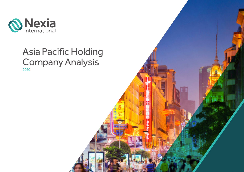

## Asia Pacific Holding Company Analysis 2020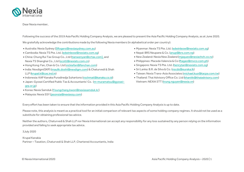

Dear Nexia member,

Following the success of the 2019 Asia Pacific Holding Company Analysis, we are pleased to present the Asia Pacific Holding Company Analysis, as at June 2020.

We gratefully acknowledge the contributions made by the following Nexia members (in alphabetical order per country):

- Australia: Nexia Sydney [\(SRogers@nexiasydney.com.au\)](mailto:SRogers@nexiasydney.com.au)
- Cambodia: Nexia TS Pte. Ltd. [\(edwinleow@nexiats.com.sg\)](mailto:edwinleow@nexiats.com.sg)
- China: Chung Rui Tax Group Co., Ltd (tianwenyan@crtax.com), and Nexia TS Shanghai Co., Ltd [\(scott@nexiats.com.cn\)](mailto:scott@nexiats.com.cn)
- Hong Kong: Fan, Chan & Co. Ltd [\(vickiefan@fanchan.com\)](mailto:vickiefan@fanchan.com)
- India: Nexdigm(SKP) (maulik.doshi@nexdigm.com) & Chaturvedi & Shah LLP (krupal.k@cas.ind.in)
- Indonesia: KAP Kanaka Puradiredja Suhartono [\(rochmat@kanaka.co.id\)](mailto:rochmat@kanaka.co.id)
- Japan: Gyosei Certified Public Tax & Accountants' Co. [\(m-muramatsu@gyosei](mailto:m-muramatsu@gyosei-grp.or.jp)[grp.or.jp\)](mailto:m-muramatsu@gyosei-grp.or.jp)
- Korea: Nexia Samduk (Youngchang.kwon@nexiasamduk.kr)
- Malaysia: Nexia SSY [\(jasonsia@nexiassy.com\)](mailto:jasonsia@nexiassy.com)
- Myanmar: Nexia TS Pte. Ltd. [\(edwinleow@nexiats.com.sg\)](mailto:edwinleow@nexiats.com.sg)
- Nepal: BRS Neupane & Co. [\(anup@brs.com.np\)](mailto:anup@brs.com.np)
- New Zealand: Nexia New Zealand (mjaques@nexiachch.co.nz)
- Philippines: Maceda Valencia & Co [\(ftagao@mvco.com.ph\)](mailto:ftagao@mvco.com.ph)
- Singapore: Nexia TS Pte. Ltd. [\(henrytan@nexiats.com.sg\)](mailto:henrytan@nexiats.com.sg)
- Sri Lanka: B.R. de Silva & Co. [\(nscds@eureka.lk\)](mailto:nscds@eureka.lk)
- Taiwan: Nexia Trans-Asia Associates [\(michael.kuo@tacpa.com.tw\)](mailto:michael.kuo@tacpa.com.tw)
- Thailand: Thai Advisory Office Co. Ltd [\(khanitk@thaiadvisory.com\)](mailto:khanitk@thaiadvisory.com) Vietnam: NEXIA STT (trung.nguyen@nexia.vn)

Every effort has been taken to ensure that the information provided in this Asia Pacific Holding Company Analysis is up to date.

Please note, this analysis is meant as a practical tool for an initial comparison of relevant tax aspects of some holding company regimes. It should not be used as a substitute for obtaining professional tax advice.

Neither the authors, Chaturvedi & Shah LLP nor Nexia International can accept any responsibility for any loss sustained by any person relying on the information provided and failing to seek appropriate tax advice.

3July 2020

Krupal Kanakia Partner – Taxation, Chaturvedi & Shah LLP, Chartered Accountants, India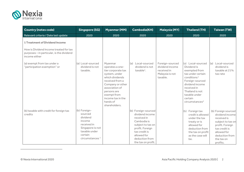<span id="page-2-0"></span>

| <b>Country (notes code)</b>                                                                                                                   | <b>Singapore (SG)</b>                                                                                                                      | <b>Myanmar (MM)</b>                                                                                                                                                                                                           | <b>Cambodia(KH)</b>                                                                                                                                                                  | <b>Malaysia (MY)</b>                                                             | <b>Thailand (TH)</b>                                                                                                                                                                                                                | <b>Taiwan (TW)</b>                                                                                                                                                        |
|-----------------------------------------------------------------------------------------------------------------------------------------------|--------------------------------------------------------------------------------------------------------------------------------------------|-------------------------------------------------------------------------------------------------------------------------------------------------------------------------------------------------------------------------------|--------------------------------------------------------------------------------------------------------------------------------------------------------------------------------------|----------------------------------------------------------------------------------|-------------------------------------------------------------------------------------------------------------------------------------------------------------------------------------------------------------------------------------|---------------------------------------------------------------------------------------------------------------------------------------------------------------------------|
| Relevant criteria / Date last update                                                                                                          | 2020                                                                                                                                       | 2020                                                                                                                                                                                                                          | 2020                                                                                                                                                                                 | 2020                                                                             | 2020                                                                                                                                                                                                                                | 2020                                                                                                                                                                      |
| <b>1 Treatment of Dividend Income</b><br>How is Dividend Income treated for tax<br>purposes - in particular, is the dividend<br>income either |                                                                                                                                            |                                                                                                                                                                                                                               |                                                                                                                                                                                      |                                                                                  |                                                                                                                                                                                                                                     |                                                                                                                                                                           |
| (a) exempt from tax under a<br>"participation exemption" or                                                                                   | (a) Local-sourced<br>dividend is not<br>taxable.                                                                                           | Myanmar<br>operates a one-<br>tier corporate tax<br>system, under<br>which dividends<br>received from a<br>Company or other<br>association of<br>persons are<br>exempt from<br>income tax in the<br>hands of<br>shareholders. | (a) Local-sourced<br>dividend is not<br>$taxable1$ .                                                                                                                                 | Foreign-sourced<br>dividend income<br>received in<br>Malaysia is not<br>taxable. | (a) Local-sourced<br>Dividend is<br>exempted from<br>tax under certain<br>conditions <sup>1</sup><br>Foreign-sourced<br>dividend income<br>received in<br>Thailand is not<br>taxable under<br>certain<br>circumstances <sup>2</sup> | (a) Local-sourced<br>dividend is<br>taxable at 21%<br>tax rate                                                                                                            |
| (b) taxable with credit for foreign tax<br>credits                                                                                            | (b) Foreign-<br>sourced<br>dividend<br>income<br>received in<br>Singapore is not<br>taxable under<br>certain<br>circumstances <sup>1</sup> |                                                                                                                                                                                                                               | (b) Foreign-sourced<br>dividend income<br>received in<br>Cambodia is<br>subject to tax on<br>profit. Foreign<br>tax credit is<br>allowed for<br>deduction from<br>the tax on profit. |                                                                                  | (b) Foreign tax<br>credit is allowed<br>under the tax<br>treaty or is<br>allowed for<br>deduction from<br>the tax on profit<br>as the case will<br>be.                                                                              | (b) Foreign sourced<br>dividend income<br>received is<br>subject to tax on<br>profit. Foreign<br>tax credit is<br>allowed for<br>deduction from<br>the tax on<br>profits. |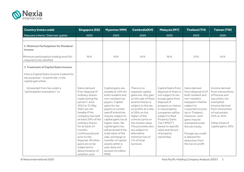

| <b>Country (notes code)</b>                                                                                                                          | <b>Singapore (SG)</b>                                                                                                                                                                                                                                                                                                                                                      | <b>Myanmar (MM)</b>                                                                                                                                                                                                                                                                                                                                                                                               | <b>Cambodia(KH)</b>                                                                                                                                                                                                                                                                                                              | <b>Malaysia (MY)</b>                                                                                                                                                                                                                                                                                  | <b>Thailand (TH)</b>                                                                                                                                                                                                                                                                                      | <b>Taiwan (TW)</b>                                                                                                                                                                                   |
|------------------------------------------------------------------------------------------------------------------------------------------------------|----------------------------------------------------------------------------------------------------------------------------------------------------------------------------------------------------------------------------------------------------------------------------------------------------------------------------------------------------------------------------|-------------------------------------------------------------------------------------------------------------------------------------------------------------------------------------------------------------------------------------------------------------------------------------------------------------------------------------------------------------------------------------------------------------------|----------------------------------------------------------------------------------------------------------------------------------------------------------------------------------------------------------------------------------------------------------------------------------------------------------------------------------|-------------------------------------------------------------------------------------------------------------------------------------------------------------------------------------------------------------------------------------------------------------------------------------------------------|-----------------------------------------------------------------------------------------------------------------------------------------------------------------------------------------------------------------------------------------------------------------------------------------------------------|------------------------------------------------------------------------------------------------------------------------------------------------------------------------------------------------------|
| Relevant criteria / Date last update                                                                                                                 | 2020                                                                                                                                                                                                                                                                                                                                                                       | 2020                                                                                                                                                                                                                                                                                                                                                                                                              | 2020                                                                                                                                                                                                                                                                                                                             | 2020                                                                                                                                                                                                                                                                                                  | 2020                                                                                                                                                                                                                                                                                                      | 2020                                                                                                                                                                                                 |
|                                                                                                                                                      |                                                                                                                                                                                                                                                                                                                                                                            |                                                                                                                                                                                                                                                                                                                                                                                                                   |                                                                                                                                                                                                                                                                                                                                  |                                                                                                                                                                                                                                                                                                       |                                                                                                                                                                                                                                                                                                           |                                                                                                                                                                                                      |
| 2 Minimum Participation for Dividend<br>income<br>Minimum participation holding level (%)                                                            | N/A                                                                                                                                                                                                                                                                                                                                                                        | N/A                                                                                                                                                                                                                                                                                                                                                                                                               | N/A                                                                                                                                                                                                                                                                                                                              | N/A                                                                                                                                                                                                                                                                                                   | 25%                                                                                                                                                                                                                                                                                                       | N/A                                                                                                                                                                                                  |
| required to be satisfied                                                                                                                             |                                                                                                                                                                                                                                                                                                                                                                            |                                                                                                                                                                                                                                                                                                                                                                                                                   |                                                                                                                                                                                                                                                                                                                                  |                                                                                                                                                                                                                                                                                                       |                                                                                                                                                                                                                                                                                                           |                                                                                                                                                                                                      |
| <b>3 Treatment of Capital Gains Income</b><br>How is Capital Gains Income treated for<br>tax purposes - in particular, is the<br>capital gain either |                                                                                                                                                                                                                                                                                                                                                                            |                                                                                                                                                                                                                                                                                                                                                                                                                   |                                                                                                                                                                                                                                                                                                                                  |                                                                                                                                                                                                                                                                                                       |                                                                                                                                                                                                                                                                                                           |                                                                                                                                                                                                      |
| (a) exempt from tax under a<br>"participation exemption" or                                                                                          | Gains derived<br>from disposal of<br>ordinary shares<br>made during the<br>period 1 June<br>2012 to 31 May<br>2022 are not<br>taxable if the<br>company has held<br>at least 20% of the<br>ordinary shares<br>for at least 24<br>months<br>continuously just<br>prior to the<br>disposal. All other<br>gains are to be<br>subjected to<br>determination of<br>whether such | Capital gains are<br>taxable at 10% for<br>both resident and<br>non-resident tax<br>payers. Capital<br>gains for tax<br>payers in certain<br>specifi industries<br>may be subject to<br>capital gains tax at<br>higher rates. No<br>capital gains tax<br>will be levied if the<br>total value of the<br>sale, exchange or<br>transfer of capital<br>assets within a<br>year does not<br>exceed 10 million<br>MMK. | There is no<br>separate capital<br>gains tax. Any gain<br>on the sale of fixed<br>assets/shares is<br>subject to the tax<br>on profits at a rate<br>of 20% on the<br>higher of the<br>contract price or<br>the market value.<br>The proceeds also<br>are subject to<br>alternative<br>minimum tax of<br>1% of total<br>turnover. | Capital Gains from<br>disposal of share is<br>not subject to tax<br>except gains from<br>disposal of<br>property or shares<br>in real property<br>companies will be<br>subject to Real<br><b>Property Gains</b><br>Tax ("RPGT")<br>based on specific<br>rates and tenure<br>of property<br>ownership. | Gains derived<br>from disposal of of<br>both resident and<br>non-resident<br>taxpayers shall be<br>subject to<br>corporate income<br>tax in Thailand<br>However, such<br>gains may be<br>exempted under<br>the tax treaty.<br>Foreign tax credit<br>is allowed for<br>deduction from<br>the tax on profit | Income derived<br>from transactions<br>of futures and<br>securities: tax<br>exempted.<br>Income derived<br>from transaction<br>of real estate:<br>35% or 45%<br>Other kinds of<br>capital gains: 20% |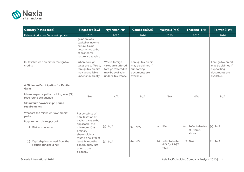

| <b>Country (notes code)</b>                                         | <b>Singapore (SG)</b>                                                                                                                                                                                                     | <b>Myanmar (MM)</b>                                                                                    | <b>Cambodia(KH)</b>                                                                  | <b>Malaysia (MY)</b>                           | <b>Thailand (TH)</b>                     | <b>Taiwan (TW)</b>                                                                   |
|---------------------------------------------------------------------|---------------------------------------------------------------------------------------------------------------------------------------------------------------------------------------------------------------------------|--------------------------------------------------------------------------------------------------------|--------------------------------------------------------------------------------------|------------------------------------------------|------------------------------------------|--------------------------------------------------------------------------------------|
| Relevant criteria / Date last update                                | 2020                                                                                                                                                                                                                      | 2020                                                                                                   | 2020                                                                                 | 2020                                           | 2020                                     | 2020                                                                                 |
| (b) taxable with credit for foreign tax<br>credits                  | gains are of a<br>capital or income<br>nature. Gains<br>determined to be<br>of an income<br>nature are taxable.<br>Where foreign<br>taxes are suffered,<br>foreign tax credits<br>may be available<br>under a tax treaty. | Where foreign<br>taxes are suffered,<br>foreign tax credits<br>may be available<br>under a tax treaty. | Foreign tax credit<br>may be claimed if<br>supporting<br>documents are<br>available. |                                                |                                          | Foreign tax credit<br>may be claimed if<br>supporting<br>documents are<br>available. |
| 4 Minimum Participation for Capital<br>Gains                        |                                                                                                                                                                                                                           |                                                                                                        |                                                                                      |                                                |                                          |                                                                                      |
| Minimum participation holding level (%)<br>required to be satisfied | N/A                                                                                                                                                                                                                       | N/A                                                                                                    | N/A                                                                                  | N/A                                            | N/A                                      | N/A                                                                                  |
| 5 Minimum "ownership" period<br>requirements                        |                                                                                                                                                                                                                           |                                                                                                        |                                                                                      |                                                |                                          |                                                                                      |
| What are the minimum "ownership"<br>period                          | For certainty of<br>non-taxation of                                                                                                                                                                                       |                                                                                                        |                                                                                      |                                                |                                          |                                                                                      |
| Requirements in respect of:                                         | capital gains to be                                                                                                                                                                                                       |                                                                                                        |                                                                                      |                                                |                                          |                                                                                      |
| (a) Dividend income                                                 | applicable, the<br>minimum 20%<br>ordinary<br>shareholdings<br>must be held for at                                                                                                                                        | (a) $N/A$                                                                                              | (a) $N/A$                                                                            | (a) $N/A$                                      | (a) Refer to Notes<br>of item 1<br>above | (a) $N/A$                                                                            |
| (b) Capital gains derived from the<br>participating holding?        | least 24 months<br>continuously just<br>prior to the<br>disposal.                                                                                                                                                         | (b) N/A                                                                                                | $(b)$ N/A                                                                            | Refer to Note<br>(b)<br>MY1 for RPGT<br>rates. | $(b)$ N/A                                | (b) N/A                                                                              |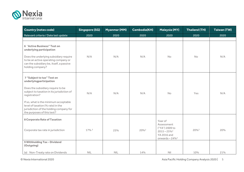

| <b>Country (notes code)</b>                                                                                                                         | <b>Singapore (SG)</b> | Myanmar (MM) | <b>Cambodia(KH)</b> | <b>Malaysia (MY)</b>                                                         | <b>Thailand (TH)</b> | <b>Taiwan (TW)</b> |
|-----------------------------------------------------------------------------------------------------------------------------------------------------|-----------------------|--------------|---------------------|------------------------------------------------------------------------------|----------------------|--------------------|
| Relevant criteria / Date last update                                                                                                                | 2020                  | 2020         | 2020                | 2020                                                                         | 2020                 | 2020               |
|                                                                                                                                                     |                       |              |                     |                                                                              |                      |                    |
| <b>6 "Active Business" Test on</b><br>underlying participation                                                                                      |                       |              |                     |                                                                              |                      |                    |
| Does the underlying subsidiary require<br>to be an active operating company or<br>can the subsidiary be, itself, a passive<br>holding company?      | N/A                   | N/A          | N/A                 | <b>No</b>                                                                    | <b>No</b>            | N/A                |
| 7 "Subject to tax" Test on<br>underlyingparticipation                                                                                               |                       |              |                     |                                                                              |                      |                    |
| Does the subsidiary require to be<br>subject to taxation in its jurisdiction of<br>registration?                                                    | N/A                   | N/A          | N/A                 | <b>No</b>                                                                    | Yes                  | N/A                |
| If so, what is the minimum acceptable<br>level of taxation (% rate) in the<br>jurisdiction of the holding company for<br>the purposes of this test? |                       |              |                     |                                                                              |                      |                    |
| <b>8 Corporate Rate of Taxation</b>                                                                                                                 |                       |              |                     | Year of<br>Assessment                                                        |                      |                    |
| Corporate tax rate in jurisdiction                                                                                                                  | 17% <sup>2</sup>      | 25%          | 20% <sup>2</sup>    | ("YA") 2009 to<br>$2015 - 25\%^2$<br><b>YA 2016 and</b><br>onwards $-24\%^2$ | $20\%$ <sup>3</sup>  | 20%                |
| 9 Withholding Tax - Dividend<br>(Outgoing)                                                                                                          |                       |              |                     |                                                                              |                      |                    |
| (a) Non-Treaty rate on Dividends                                                                                                                    | NIL                   | <b>NIL</b>   | 14%                 | Nil                                                                          | 10%                  | 21%                |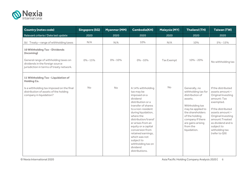

| <b>Country (notes code)</b>                                                                                          | <b>Singapore (SG)</b> | <b>Myanmar (MM)</b> | <b>Cambodia(KH)</b>                                                                                                                                                                                                                                                                                                                                            | <b>Malaysia (MY)</b> | <b>Thailand (TH)</b>                                                                                                                                                                                                  | <b>Taiwan (TW)</b>                                                                                                                                                                                                                              |
|----------------------------------------------------------------------------------------------------------------------|-----------------------|---------------------|----------------------------------------------------------------------------------------------------------------------------------------------------------------------------------------------------------------------------------------------------------------------------------------------------------------------------------------------------------------|----------------------|-----------------------------------------------------------------------------------------------------------------------------------------------------------------------------------------------------------------------|-------------------------------------------------------------------------------------------------------------------------------------------------------------------------------------------------------------------------------------------------|
| Relevant criteria / Date last update                                                                                 | 2020                  | 2020                | 2020                                                                                                                                                                                                                                                                                                                                                           | 2020                 | 2020                                                                                                                                                                                                                  | 2020                                                                                                                                                                                                                                            |
| (b) Treaty - range of withholding taxes                                                                              | N/A                   | N/A                 | 10%                                                                                                                                                                                                                                                                                                                                                            | N/A                  | 10%                                                                                                                                                                                                                   | $5\% - 15\%$                                                                                                                                                                                                                                    |
| 10 Withholding Tax - Dividends<br>(Incoming)                                                                         |                       |                     |                                                                                                                                                                                                                                                                                                                                                                |                      |                                                                                                                                                                                                                       |                                                                                                                                                                                                                                                 |
| General range of withholding taxes on<br>dividends in the foreign source<br>jurisdiction in terms of treaty network. | $0\% - 15\%$          | $0\% - 10\%$        | $0\% - 10\%$                                                                                                                                                                                                                                                                                                                                                   | Tax Exempt           | $10\% - 20\%$                                                                                                                                                                                                         | No withholding tax                                                                                                                                                                                                                              |
| 11 Withholding Tax - Liquidation of<br><b>Holding Co.</b>                                                            |                       |                     |                                                                                                                                                                                                                                                                                                                                                                |                      |                                                                                                                                                                                                                       |                                                                                                                                                                                                                                                 |
| Is a withholding tax imposed on the final<br>distribution of assets of the holding<br>company in liquidation?        | <b>No</b>             | <b>No</b>           | A 14% withholding<br>tax may be<br>imposed on a<br>dividend<br>distribution or a<br>transfer of shares<br>to a non-resident<br>during liquidation,<br>where the<br>distribution/transf<br>er arises from an<br>equity or a capital<br>conversion from<br>retained earnings,<br>which was not<br>subject to<br>withholding tax on<br>dividend<br>distributions. | <b>No</b>            | Generally, no<br>withholding tax for<br>distribution of<br>assets.<br>Withholding tax<br>may be applied to<br>the shareholders<br>of the holding<br>company if there<br>are gains arising<br>from the<br>liquidation. | If the distributed<br>assets amount <<br>Original Investing<br>amount: Tax<br>exempted.<br>If the distributed<br>assets amount ><br>Original Investing<br>amount:Treated<br>as dividend and is<br>subject to<br>witholding tax<br>(refer to Q9) |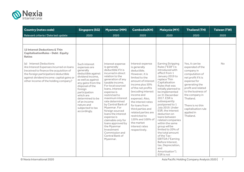

| <b>Country (notes code)</b>                                                                                                                                                                                                                                                                                                                | <b>Singapore (SG)</b>                                                                                                                                                                                                                                                              | <b>Myanmar (MM)</b>                                                                                                                                                                                                                                                                                                                                                                                                                                                          | <b>Cambodia(KH)</b>                                                                                                                                                                                                                                                                                                                                                                 | <b>Malaysia (MY)</b>                                                                                                                                                                                                                                                                                                                                                                                                                                                                                     | <b>Thailand (TH)</b>                                                                                                                                                                                                                                                       | <b>Taiwan (TW)</b> |
|--------------------------------------------------------------------------------------------------------------------------------------------------------------------------------------------------------------------------------------------------------------------------------------------------------------------------------------------|------------------------------------------------------------------------------------------------------------------------------------------------------------------------------------------------------------------------------------------------------------------------------------|------------------------------------------------------------------------------------------------------------------------------------------------------------------------------------------------------------------------------------------------------------------------------------------------------------------------------------------------------------------------------------------------------------------------------------------------------------------------------|-------------------------------------------------------------------------------------------------------------------------------------------------------------------------------------------------------------------------------------------------------------------------------------------------------------------------------------------------------------------------------------|----------------------------------------------------------------------------------------------------------------------------------------------------------------------------------------------------------------------------------------------------------------------------------------------------------------------------------------------------------------------------------------------------------------------------------------------------------------------------------------------------------|----------------------------------------------------------------------------------------------------------------------------------------------------------------------------------------------------------------------------------------------------------------------------|--------------------|
| Relevant criteria / Date last update                                                                                                                                                                                                                                                                                                       | 2020                                                                                                                                                                                                                                                                               | 2020                                                                                                                                                                                                                                                                                                                                                                                                                                                                         | 2020                                                                                                                                                                                                                                                                                                                                                                                | 2020                                                                                                                                                                                                                                                                                                                                                                                                                                                                                                     | 2020                                                                                                                                                                                                                                                                       | 2020               |
| 12 Interest Deductions & Thin<br><b>CapitalisationRules - Debt: Equity</b><br><b>Ratios</b><br>(a) Interest Deductions<br>Are Interest Expenses incurred on loans<br>(received to finance the acquisition of<br>the foreign participation) deductible<br>against dividend income: capital gains or<br>other income of the holding company? | Such interest<br>expenses are<br>generally<br>deductible against<br>dividend income,<br>as well as against<br>any gains from the<br>disposal of the<br>foreign<br>participation<br>which are<br>determined to be<br>of an income<br>nature and<br>subjected to tax<br>accordingly. | Interest expense<br>is generally<br>deductible if it is<br>incurred in direct<br>relation to the<br>generation of any<br>taxable income.<br>For local sourced<br>loans, interest<br>expense is<br>restricted to<br>maximum interest<br>rate determined<br>by Central Bank of<br>Myanmar. For<br>foreign sourced<br>loans the interest<br>expense is<br>claimable only for<br>loans approved by<br>the Myanmar<br>Investment<br>Commission and<br>Central Bank of<br>Myanmar. | Interest expense<br>is generally<br>deductible.<br>However, it is<br>limited to the<br>amount of interest<br>income plus 50%<br>of the net profits<br>(excuding interest<br>income and<br>expense). Also,<br>the interest rates<br>for loans from<br>third parties and<br>related parties are<br>restricted to<br>120% and 100% of<br>the market<br>interest rates<br>respectively. | <b>Earning Stripping</b><br>Rules ("ESR") is<br>introduced with<br>effect from 1<br>January 2019 to<br>replace Thin<br>Capitalisation<br>Rules that was<br>initially planned to<br>be implemented<br>on 31 December<br>2017. ESR is<br>subsequently<br>postponed to 1<br>July 2019. Under<br>ESR, the interest<br>deduction on<br>loans between<br>related companies<br>within the same<br>group will be<br>limited to 20% of<br>the total amount<br>of the Tax-<br>EBITDA ("Earning<br>Before Interest. | Yes, it can be<br>expended of the<br>company in<br>computation of<br>net profit if it is<br>expense for<br>generating the<br>profit and related<br>to the business of<br>the company in<br>Thailand.<br>There is no thin<br>capitalisation rule<br>applied in<br>Thailand. | No                 |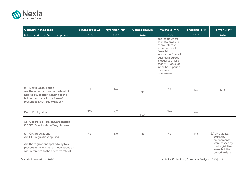

| <b>Country (notes code)</b>                                                                                                                                                            | <b>Singapore (SG)</b> | Myanmar (MM) | <b>Cambodia(KH)</b> | <b>Malaysia (MY)</b>                                                                                                                                                                                                               | <b>Thailand (TH)</b> | <b>Taiwan (TW)</b>                                                                                                 |
|----------------------------------------------------------------------------------------------------------------------------------------------------------------------------------------|-----------------------|--------------|---------------------|------------------------------------------------------------------------------------------------------------------------------------------------------------------------------------------------------------------------------------|----------------------|--------------------------------------------------------------------------------------------------------------------|
| Relevant criteria / Date last update                                                                                                                                                   | 2020                  | 2020         | 2020                | 2020                                                                                                                                                                                                                               | 2020                 | 2020                                                                                                               |
|                                                                                                                                                                                        |                       |              |                     | applicable where<br>the total amount<br>of any interest<br>expense for all<br>financial<br>assistance from all<br>business sources<br>is equal to or less<br>than MYR500,000<br>in the basis period<br>for a year of<br>assessment |                      |                                                                                                                    |
| (b) Debt: Equity Ratios<br>Are there restrictions on the level of<br>non-equity capital financing of the<br>holding company in the form of<br>prescribed Debt: Equity ratios?          | No                    | No           | No                  | No                                                                                                                                                                                                                                 | <b>No</b>            | N/A                                                                                                                |
| Debt: Equity ratio:                                                                                                                                                                    | N/A                   | N/A          | N/A                 | N/A                                                                                                                                                                                                                                | N/A                  |                                                                                                                    |
| 13 Controlled Foreign Corporation<br>("CFC") & "anti-abuse" regulations                                                                                                                |                       |              |                     |                                                                                                                                                                                                                                    |                      |                                                                                                                    |
| (a) CFC Regulations<br>Are CFC regulations applied?<br>Are the regulations applied only to a<br>prescribed "black list" of jurisdictions or<br>with reference to the effective rate of | <b>No</b>             | <b>No</b>    | No                  | <b>No</b>                                                                                                                                                                                                                          | <b>No</b>            | (a) On July 12,<br>2016, the<br>amendments<br>were passed by<br>the Legislative<br>Yuan, but the<br>effective date |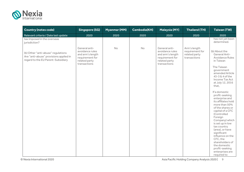

| <b>Country (notes code)</b>                                                                                        | <b>Singapore (SG)</b>                                                                                    | <b>Myanmar (MM)</b> | <b>Cambodia(KH)</b> | <b>Malaysia (MY)</b>                                                                                     | <b>Thailand (TH)</b>                                             | <b>Taiwan (TW)</b>                                                                                                                                                                                                                                                                                                                         |
|--------------------------------------------------------------------------------------------------------------------|----------------------------------------------------------------------------------------------------------|---------------------|---------------------|----------------------------------------------------------------------------------------------------------|------------------------------------------------------------------|--------------------------------------------------------------------------------------------------------------------------------------------------------------------------------------------------------------------------------------------------------------------------------------------------------------------------------------------|
| Relevant criteria / Date last update                                                                               | 2020                                                                                                     | 2020                | 2020                | 2020                                                                                                     | 2020                                                             | 2020                                                                                                                                                                                                                                                                                                                                       |
| tax imposed in the overseas<br>jurisdiction?                                                                       |                                                                                                          |                     |                     |                                                                                                          |                                                                  | has not yet been<br>determined.                                                                                                                                                                                                                                                                                                            |
| (b) Other "anti-abuse" regulations<br>Are "anti-abuse" provisions applied in<br>regard to the EU Parent-Subsidiary | General anti-<br>avoidance rules<br>and arm's length<br>requirement for<br>related party<br>transactions | <b>No</b>           | No                  | General anti-<br>avoidance rules<br>and arm's length<br>requirement for<br>related party<br>transactions | Arm's length<br>requirement for<br>related party<br>transactions | (b) About the<br>General Anti-<br><b>Avoidance Rules</b><br>in Taiwan<br>The Taiwan<br>government<br>amended Article<br>43-3 & 4 of the<br>Income Tax Act<br>at July 12, 2016<br>that.<br>If a domestic<br>profit-seeking<br>enterprise and<br>its affiliates hold<br>more than 50%<br>of the shares or<br>capital of a CFC<br>(Controlled |
|                                                                                                                    |                                                                                                          |                     |                     |                                                                                                          |                                                                  | Foreign<br>Company) which<br>is set up in low<br>tax country<br>(area), or have                                                                                                                                                                                                                                                            |
|                                                                                                                    |                                                                                                          |                     |                     |                                                                                                          |                                                                  | significant<br>influence on the<br>CFC, the<br>shareholders of<br>the domestic<br>profit-seeking<br>enterprises are<br>required to                                                                                                                                                                                                         |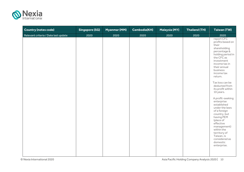

| <b>Country (notes code)</b>          | <b>Singapore (SG)</b> | <b>Myanmar (MM)</b> | <b>Cambodia(KH)</b> | <b>Malaysia (MY)</b> | <b>Thailand (TH)</b> | <b>Taiwan (TW)</b>                                                                                                                                                                                                                             |
|--------------------------------------|-----------------------|---------------------|---------------------|----------------------|----------------------|------------------------------------------------------------------------------------------------------------------------------------------------------------------------------------------------------------------------------------------------|
| Relevant criteria / Date last update | 2020                  | 2020                | 2020                | 2020                 | 2020                 | 2020                                                                                                                                                                                                                                           |
|                                      |                       |                     |                     |                      |                      | report CFC<br>profits based on<br>their<br>shareholding<br>percentage &<br>holding period in<br>the CFC as<br>investment<br>income tax in<br>their annual<br>business<br>income tax<br>return.<br>Tax loss can be                              |
|                                      |                       |                     |                     |                      |                      | deducted from<br>its profit within<br>10 years.                                                                                                                                                                                                |
|                                      |                       |                     |                     |                      |                      | A profit-seeking<br>enterprise<br>established<br>under the laws<br>of a foreign<br>country, but<br>having PEM<br>(place of<br>effective<br>management)<br>within the<br>territory of<br>Taiwan, is<br>considered as<br>domestic<br>enterprise. |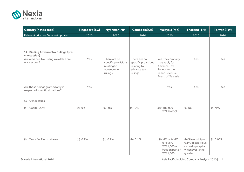

| <b>Country (notes code)</b>                                                                                    | <b>Singapore (SG)</b> | Myanmar (MM)                                                                  | <b>Cambodia(KH)</b>                                                           | <b>Malaysia (MY)</b>                                                                                                     | <b>Thailand (TH)</b>                                                                         | <b>Taiwan (TW)</b> |
|----------------------------------------------------------------------------------------------------------------|-----------------------|-------------------------------------------------------------------------------|-------------------------------------------------------------------------------|--------------------------------------------------------------------------------------------------------------------------|----------------------------------------------------------------------------------------------|--------------------|
| Relevant criteria / Date last update                                                                           | 2020                  | 2020                                                                          | 2020                                                                          | 2020                                                                                                                     | 2020                                                                                         | 2020               |
|                                                                                                                |                       |                                                                               |                                                                               |                                                                                                                          |                                                                                              |                    |
| 14 Binding Advance Tax Rulings (pre-<br>transaction)<br>Are Advance Tax Rulings available pre-<br>transaction? | Yes                   | There are no<br>specific provisions<br>relating to<br>advance tax<br>rulings. | There are no<br>specific provisions<br>relating to<br>advance tax<br>rulings. | Yes, the company<br>may apply for<br><b>Advance Tax</b><br>Rulings to the<br><b>Inland Revenue</b><br>Board of Malaysia. | Yes                                                                                          | Yes                |
| Are these rulings granted only in<br>respect of specific situations?                                           | Yes                   |                                                                               |                                                                               | Yes                                                                                                                      | Yes                                                                                          | Yes                |
| 15 Other taxes                                                                                                 |                       |                                                                               |                                                                               |                                                                                                                          |                                                                                              |                    |
| (a) Capital Duty                                                                                               | (a) 0%                | (a) $0\%$                                                                     | (a) 0%                                                                        | (a) $MYR1,000 -$<br>MYR70,0003                                                                                           | $(a)$ No                                                                                     | (a) N/A            |
| (b) Transfer Tax on shares                                                                                     | (b) $0.2\%$           | (b) $0.1\%$                                                                   | (b) 0.1%                                                                      | (b) MYR1 or MYR3<br>for every<br>MYR1,000 or<br>fraction part of<br>MYR1,000 <sup>4</sup>                                | (b) Stamp duty at<br>0.1% of sale value<br>or paid up capital<br>whichever is the<br>greater | (b) 0.003          |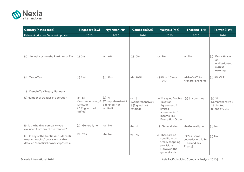

| <b>Country (notes code)</b>                                                                                               | <b>Singapore (SG)</b>                                                      | <b>Myanmar (MM)</b>                                        | <b>Cambodia(KH)</b>                                      | <b>Malaysia (MY)</b>                                                                                           | <b>Thailand (TH)</b>                                            | <b>Taiwan (TW)</b>                                             |
|---------------------------------------------------------------------------------------------------------------------------|----------------------------------------------------------------------------|------------------------------------------------------------|----------------------------------------------------------|----------------------------------------------------------------------------------------------------------------|-----------------------------------------------------------------|----------------------------------------------------------------|
| Relevant criteria / Date last update                                                                                      | 2020                                                                       | 2020                                                       | 2020                                                     | 2020                                                                                                           | 2020                                                            | 2020                                                           |
| (c) Annual Net Worth / Patrimonial Tax                                                                                    | (c) 0%                                                                     | (c) 0%                                                     | (c) 0%                                                   | (c) N/A                                                                                                        | $(c)$ No                                                        | (c) Extra 5% tax<br>on<br>undistributed<br>surplus<br>earnings |
| (d) Trade Tax                                                                                                             | (d) $7\%$ <sup>3</sup>                                                     | (d) $5\%$ <sup>1</sup>                                     | (d) $10\%$ <sup>3</sup>                                  | (d) 5% or 10% or<br>6%5                                                                                        | (d) No VAT for<br>transfer of shares                            | (d) 5% VAT                                                     |
| <b>16 Double Tax Treaty Network</b>                                                                                       |                                                                            |                                                            |                                                          |                                                                                                                |                                                                 |                                                                |
| (a) Number of treaties in operation                                                                                       | (a) 85<br>(Comprehensive), 8<br>(Limited)<br>& 6 (Signed, not<br>ratified) | (a) 6<br>(Comprehensive), &<br>3 (Signed, not<br>ratified) | (a) 6<br>(Comprehensive)&<br>3 (Signed, not<br>ratified) | (a) 72 signed Double<br>Taxation<br>Agreement, 2<br>limited<br>agreements, 1<br>Income Tax<br>Exemption Order. | (a) 61 countries                                                | $(a)$ 32<br>Comprehensive &<br>13 Limited<br>till end of 2019  |
| (b) Is the holding company type<br>excluded from any of the treaties?                                                     | (b) Generally no                                                           | $(a)$ No                                                   | $(b)$ No                                                 | (b) Generally No                                                                                               | (b) Generally no                                                | $(b)$ No                                                       |
| (c) Do any of the treaties include "anti-<br>treaty shopping" provisions and/or<br>detailed "beneficial ownership" tests? | (c) Yes                                                                    | $(b)$ No                                                   | $(c)$ No                                                 | (c) There are no<br>specific anti-<br>treaty shopping<br>provisions.<br>However, the<br>general anti-          | (c) Yes (some<br>countries e.g. USA<br>-Thailand Tax<br>Treaty) | $(c)$ No                                                       |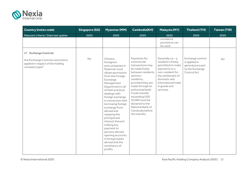

| <b>Country (notes code)</b>                                                              | <b>Singapore (SG)</b> | <b>Myanmar (MM)</b>                                                                                                                                                                                                                                                                                                                                                                                                                                                                  | <b>Cambodia(KH)</b>                                                                                                                                                                                                                                                                                         | <b>Malaysia (MY)</b>                                                                                                                                                                        | <b>Thailand (TH)</b>                                                                    | <b>Taiwan (TW)</b> |
|------------------------------------------------------------------------------------------|-----------------------|--------------------------------------------------------------------------------------------------------------------------------------------------------------------------------------------------------------------------------------------------------------------------------------------------------------------------------------------------------------------------------------------------------------------------------------------------------------------------------------|-------------------------------------------------------------------------------------------------------------------------------------------------------------------------------------------------------------------------------------------------------------------------------------------------------------|---------------------------------------------------------------------------------------------------------------------------------------------------------------------------------------------|-----------------------------------------------------------------------------------------|--------------------|
| Relevant criteria / Date last update                                                     | 2020                  | 2020                                                                                                                                                                                                                                                                                                                                                                                                                                                                                 | 2020                                                                                                                                                                                                                                                                                                        | 2020                                                                                                                                                                                        | 2020                                                                                    | 2020               |
|                                                                                          |                       |                                                                                                                                                                                                                                                                                                                                                                                                                                                                                      |                                                                                                                                                                                                                                                                                                             | avoidance<br>provisions can<br>be used.                                                                                                                                                     |                                                                                         |                    |
| <b>17 Exchange Controls</b>                                                              |                       |                                                                                                                                                                                                                                                                                                                                                                                                                                                                                      |                                                                                                                                                                                                                                                                                                             |                                                                                                                                                                                             |                                                                                         |                    |
| Are Exchange Controls restrictions<br>applied in respect of the holding<br>company type? | <b>No</b>             | Citizens,<br>foreigners<br>and companies in<br>Myanmar must<br>obtain permission<br>from the Foreign<br>Exchange<br>Management<br>Department in all<br>of their practical<br>dealings with<br>foreign exchange<br>in connection with<br>borrowing foreign<br>exchange from<br>abroad and<br>repaying the<br>principal and<br>interest thereof.<br>making any<br>payment to<br>persons abroad,<br>opening accounts<br>in foreign banks<br>abroad and the<br>remittance of<br>profits. | Payments for<br>commercial<br>transactions may<br>be made freely<br>between residents<br>and non-<br>residents,<br>provided they are<br>made through an<br>authorized bank.<br>Funds transfer<br>exceeding USD<br>10,000 must be<br>declared to the<br>National Nank of<br>Cambodia before<br>the transfer. | Generally $no - a$<br>resident is freely<br>permitted to make<br>payments to a<br>non-resident for<br>the settlement of<br>domestic and<br>international trade<br>in goods and<br>services. | Exchange control<br>is applied in<br>general pursuant<br>to the Exchange<br>Control Act | <b>No</b>          |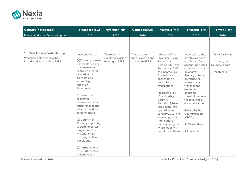

| <b>Country (notes code)</b>                                                                                | <b>Singapore (SG)</b>                                                                                                                                                                                                                                                                                                                | Myanmar (MM)                                             | <b>Cambodia(KH)</b>                                      | <b>Malaysia (MY)</b>                                                                                                                                                                                                                        | <b>Thailand (TH)</b>                                                                                                                                                                       | <b>Taiwan (TW)</b>                                                       |
|------------------------------------------------------------------------------------------------------------|--------------------------------------------------------------------------------------------------------------------------------------------------------------------------------------------------------------------------------------------------------------------------------------------------------------------------------------|----------------------------------------------------------|----------------------------------------------------------|---------------------------------------------------------------------------------------------------------------------------------------------------------------------------------------------------------------------------------------------|--------------------------------------------------------------------------------------------------------------------------------------------------------------------------------------------|--------------------------------------------------------------------------|
| Relevant criteria / Date last update                                                                       | 2020                                                                                                                                                                                                                                                                                                                                 | 2020                                                     | 2020                                                     | 2020                                                                                                                                                                                                                                        | 2020                                                                                                                                                                                       | 2020                                                                     |
| <b>18 Base Erosion Profit Shifting</b><br>What kinds of tests have been<br>introduced as a result of BEPS? | Introduction of:<br>(a)Contemporaneo<br>us transfer pricing<br>documentation<br>requirements for<br>related party<br>transactions<br>exceeding<br>specified                                                                                                                                                                          | There are no<br>specific provisions<br>relating to BEPS. | There are no<br>specific provisions<br>relating to BEPS. | (a) Income Tax<br>(Transfer Pricing)<br>Rules 2012,<br>Section 140A and<br>Section 140C of<br>the Income Tax<br>Act 1967 are<br>applicable on<br>controlled                                                                                 | According to the<br>new tax law which<br>is effective for the<br>accounting period<br>commencement<br>on or after<br>January 1, 2019<br>onwards, the<br>related party                      | 1. Transfer Pricing<br>2. Country by<br>Country report<br>3. Master File |
|                                                                                                            | thresholds;<br>(b) Prescribed<br>reporting<br>requirements for<br>such transactions<br>which exceed the<br>threshold; and<br>(c) Country by<br><b>Country Reporting</b><br>(CbCR) for certain<br>Singapore-based<br>multinationals<br>meeting certain<br>conditions.<br>(d) Introduction of<br>a hybrid limitation<br>of benefit and |                                                          |                                                          | transactions.<br>(b) Income Tax<br>(Country-by-<br>Country<br>Reporting) Rules<br>2016 came into<br>operation on 1<br>January 2017. The<br>Rules apply to a<br>multinational<br>corporation group<br>which meet with<br>certain conditions. | transactions<br>exceeding<br>specified<br>threshold require<br>the followings<br>documentation<br>(i) Country by<br>Country report<br>(CbCR),<br>(ii) Master file and<br>(iii) Local file. |                                                                          |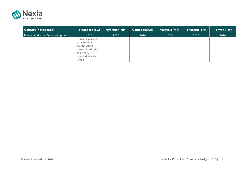

| Country (notes code)                 | <b>Singapore (SG)</b>                                                                                                   | <b>Myanmar (MM)</b> | Cambodia(KH) | Malaysia (MY) | <b>Thailand (TH)</b> | <b>Taiwan (TW)</b> |
|--------------------------------------|-------------------------------------------------------------------------------------------------------------------------|---------------------|--------------|---------------|----------------------|--------------------|
| Relevant criteria / Date last update | 2020                                                                                                                    | 2020                | 2020         | 2020          | 2020                 | 2020               |
|                                      | principal purpose<br>article in tax<br>treaties (first<br>introduced in the<br>tax treaty<br>concluded with<br>Brazil). |                     |              |               |                      |                    |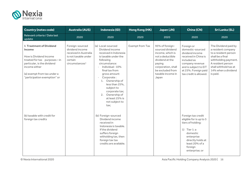

| <b>Country (notes code)</b>                                                                                                                                                                                      | <b>Australia (AUS)</b>                                                                                                      | Indonesia (ID)                                                                                                                                                                                                                                                                                                                                                    | Hong Kong (HK)         | Japan (JN)                                                                                                                                                                       | China (CN)                                                                                                                                                                             | <b>Sri Lanka (SL)</b>                                                                                                                                                                           |
|------------------------------------------------------------------------------------------------------------------------------------------------------------------------------------------------------------------|-----------------------------------------------------------------------------------------------------------------------------|-------------------------------------------------------------------------------------------------------------------------------------------------------------------------------------------------------------------------------------------------------------------------------------------------------------------------------------------------------------------|------------------------|----------------------------------------------------------------------------------------------------------------------------------------------------------------------------------|----------------------------------------------------------------------------------------------------------------------------------------------------------------------------------------|-------------------------------------------------------------------------------------------------------------------------------------------------------------------------------------------------|
| Relevant criteria / Date last<br>update                                                                                                                                                                          | 2020                                                                                                                        | 2020                                                                                                                                                                                                                                                                                                                                                              | 2020                   | 2020                                                                                                                                                                             | 2020                                                                                                                                                                                   | 2020                                                                                                                                                                                            |
| <b>1 Treatment of Dividend</b><br>Income<br>How is Dividend Income<br>treated for tax purposes-in<br>particular, is the dividend<br>income either<br>(a) exempt from tax under a<br>"participation exemption" or | Foreign-sourced<br>dividend income<br>received in Australia<br>is not taxable under<br>certain<br>circumstance <sup>1</sup> | (a) Local-sourced<br>Dividend income<br>received in Indonesia<br>is taxable under the<br>following<br>circumstance:<br>Individual: 10%<br>$\sim$<br>final tax from<br>gross amount<br>Corporate:<br>$\overline{\phantom{a}}$<br>1. Ownership of<br>less than 25%.<br>subject to<br>corporate tax;<br>2. Ownership of<br>at least 25% is<br>not subject to<br>tax; | <b>Exempt from Tax</b> | 95% of foreign-<br>sourced dividend<br>income, which is<br>not a deductible<br>dividend at the<br>paying<br>corporation, shall<br>be excluded from<br>taxable income in<br>Japan | Foreign or<br>domestic-sourced<br>dividend income<br>received in China is<br>included as<br>company revenue<br>and is subject to EIT<br>at 25%. Foreign paid<br>tax credit is allowed. | The Dividend paid by<br>a resident company<br>to a resident person<br>shall be a final<br>withholding payment.<br>A resident person<br>shall withhold tax at<br>14% when a dividend<br>is paid. |
| (b) taxable with credit for<br>foreign tax credits                                                                                                                                                               |                                                                                                                             | (b) Foreign-sourced<br>Dividend income<br>received in<br>Indonesia is taxable.<br>If the dividend<br>suffers foreign<br>witholding tax, then<br>foreign tax tax<br>credits are available.                                                                                                                                                                         |                        |                                                                                                                                                                                  | Foreign tax credit<br>eligible for is up to 5<br>tiers of holding:<br>1) Tier 1: a<br>domestic<br>enterprise<br>directly holds at<br>least 20% of a<br>foreign<br>enterprise; or       |                                                                                                                                                                                                 |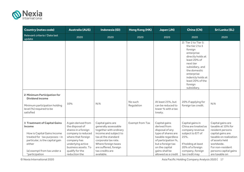

| <b>Country (notes code)</b>                                                                                                                                                                               | <b>Australia (AUS)</b>                                                                                                                                                                                   | Indonesia (ID)                                                                                                                                                                                                              | Hong Kong (HK)         | Japan (JN)                                                                                                                                                                                          | <b>China (CN)</b>                                                                                                                                                                                                                       | <b>Sri Lanka (SL)</b>                                                                                                                                                                                     |
|-----------------------------------------------------------------------------------------------------------------------------------------------------------------------------------------------------------|----------------------------------------------------------------------------------------------------------------------------------------------------------------------------------------------------------|-----------------------------------------------------------------------------------------------------------------------------------------------------------------------------------------------------------------------------|------------------------|-----------------------------------------------------------------------------------------------------------------------------------------------------------------------------------------------------|-----------------------------------------------------------------------------------------------------------------------------------------------------------------------------------------------------------------------------------------|-----------------------------------------------------------------------------------------------------------------------------------------------------------------------------------------------------------|
| Relevant criteria / Date last<br>update                                                                                                                                                                   | 2020                                                                                                                                                                                                     | 2020                                                                                                                                                                                                                        | 2020                   | 2020                                                                                                                                                                                                | 2020                                                                                                                                                                                                                                    | 2020                                                                                                                                                                                                      |
|                                                                                                                                                                                                           |                                                                                                                                                                                                          |                                                                                                                                                                                                                             |                        |                                                                                                                                                                                                     | 2) Tier 2 to Tier 5:<br>the tier 2 to 5<br>foreign<br>enterprise<br>directly holds at<br>least 20% of<br>next tier<br>subsidiary, and<br>the domestic<br>enterprise<br>indericly holds at<br>least 20% of the<br>foreign<br>subsidiary. |                                                                                                                                                                                                           |
| 2 Minimum Participation for<br><b>Dividend income</b><br>Minimum participation holding<br>level (%) required to be<br>satisfied                                                                           | 10%                                                                                                                                                                                                      | N/A                                                                                                                                                                                                                         | No such<br>Regulation  | At least 25%, but<br>can be reduced to<br>lower % with a tax<br>treaty.                                                                                                                             | 20% if applying for<br>foreign tax credit.                                                                                                                                                                                              | N/A                                                                                                                                                                                                       |
| <b>3 Treatment of Capital Gains</b><br>Income<br>How is Capital Gains Income<br>treated for tax purposes-in<br>particular, is the capital gain<br>either<br>(a) exempt from tax under a<br>"participation | A gain derived from<br>the disposal of<br>shares in a foreign<br>company is reduced<br>where that foreign<br>company has<br>underlying active<br>business assets. To<br>qualify for the<br>reduction the | Capital gains are<br>generally assessable<br>together with ordinary<br>income and subject to<br>tax at the standard<br>corporate tax rate.<br>Where foreign taxes<br>are suffered, foreign<br>tax credits are<br>available. | <b>Exempt from Tax</b> | Capital gains<br>derived from<br>disposal of any<br>type of shares are<br>taxable regardless<br>of participation %,<br>but a foreign tax<br>on the capital<br>gains shall be<br>allowed as a credit | Capital gains in<br>China are treated as<br>company revenue<br>subject to EIT of<br>25%.<br>If holding at least<br>20% of a foreign<br>company, foreign<br>tax credit may                                                               | Capital gains are<br>taxable at 10% for<br>resident persons<br>capital gains are<br>taxable on realization<br>of assets held<br>worldwide.<br>For non-resident<br>persons capital gains<br>are taxable on |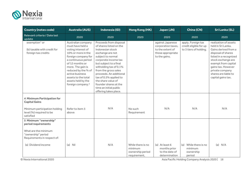

| <b>Country (notes code)</b>                                                                                               | <b>Australia (AUS)</b>                                                                                                                                                                                                                                                                           | Indonesia (ID)                                                                                                                                                                                                                                                                                                                                                            | Hong Kong (HK)                                                   | Japan (JN)                                                                                       | China (CN)                                                             | <b>Sri Lanka (SL)</b>                                                                                                                                                                                                                                   |
|---------------------------------------------------------------------------------------------------------------------------|--------------------------------------------------------------------------------------------------------------------------------------------------------------------------------------------------------------------------------------------------------------------------------------------------|---------------------------------------------------------------------------------------------------------------------------------------------------------------------------------------------------------------------------------------------------------------------------------------------------------------------------------------------------------------------------|------------------------------------------------------------------|--------------------------------------------------------------------------------------------------|------------------------------------------------------------------------|---------------------------------------------------------------------------------------------------------------------------------------------------------------------------------------------------------------------------------------------------------|
| Relevant criteria / Date last<br>update                                                                                   | 2020                                                                                                                                                                                                                                                                                             | 2020                                                                                                                                                                                                                                                                                                                                                                      | 2020                                                             | 2020                                                                                             | 2020                                                                   | 2020                                                                                                                                                                                                                                                    |
| exemption" or<br>(b) taxable with credit for<br>foreign tax credits                                                       | Australian company<br>must have held a<br>voting interest of<br>10% or more in the<br>foreign company for<br>a continuous period<br>of 12 months or<br>more. The gain is<br>reduced by the % of<br>active business<br>assets to the total<br>assets held by the<br>foreign company. <sup>2</sup> | Proceeds from disposal<br>of shares listed on the<br>Indonesian stock<br>exchange are not<br>subject to normal<br>corporate income tax<br>but subject to a final<br>witholding tax of 0.1%<br>from the gross sales<br>proceeds. An additional<br>tax of 0.5% applied to<br>the share value of<br>founder shares at the<br>time an initial public<br>offering takes place. |                                                                  | against Japanese<br>corporation taxes,<br>to the extent of<br>those appropriate<br>to the gains. | apply. Foreign tax<br>credit eligible for up<br>to 3 tiers of holding. | realization of assets<br>held in Sri Lanka.<br>Gains derived from a<br>disposal of shares<br>listed in a recognized<br>stock exchange are<br>exempt from capital<br>gains tax. However<br>private company<br>shares are liable to<br>capital gains tax. |
| <b>4 Minimum Participation for</b><br><b>Capital Gains</b><br>Minimum participation holding                               | Refer to item 3                                                                                                                                                                                                                                                                                  | N/A                                                                                                                                                                                                                                                                                                                                                                       | No such                                                          | N/A                                                                                              | N/A                                                                    | N/A                                                                                                                                                                                                                                                     |
| level (%) required to be<br>satisfied                                                                                     | above                                                                                                                                                                                                                                                                                            |                                                                                                                                                                                                                                                                                                                                                                           | Requirement                                                      |                                                                                                  |                                                                        |                                                                                                                                                                                                                                                         |
| 5 Minimum "ownership"<br>period requirements<br>What are the minimum<br>"ownership" period<br>Requirements in respect of: |                                                                                                                                                                                                                                                                                                  |                                                                                                                                                                                                                                                                                                                                                                           |                                                                  |                                                                                                  |                                                                        |                                                                                                                                                                                                                                                         |
| (a) Dividend income                                                                                                       | $(a)$ Nil                                                                                                                                                                                                                                                                                        | N/A                                                                                                                                                                                                                                                                                                                                                                       | While there is no<br>minimum<br>ownership period<br>requirement, | (a) At least 6<br>months prior<br>to the date of<br>determination                                | While there is no<br>(a)<br>minimum<br>ownership<br>period             | (a) $N/A$                                                                                                                                                                                                                                               |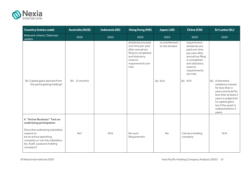

| <b>Country (notes code)</b>                                                                                                                                                                                            | <b>Australia (AUS)</b> | Indonesia (ID) | Hong Kong (HK)                                                                                                                             | Japan (JN)                                    | China (CN)                                                                                                                                                                 | <b>Sri Lanka (SL)</b>                                                                                                                                                             |
|------------------------------------------------------------------------------------------------------------------------------------------------------------------------------------------------------------------------|------------------------|----------------|--------------------------------------------------------------------------------------------------------------------------------------------|-----------------------------------------------|----------------------------------------------------------------------------------------------------------------------------------------------------------------------------|-----------------------------------------------------------------------------------------------------------------------------------------------------------------------------------|
| Relevant criteria / Date last<br>update                                                                                                                                                                                | 2020                   | 2020           | 2020                                                                                                                                       | 2020                                          | 2020                                                                                                                                                                       | 2020                                                                                                                                                                              |
| (b) Capital gains derived from                                                                                                                                                                                         | (b) 12 months          |                | dividends are paid<br>one time per year<br>after annual tax<br>filing is completed<br>and statutory<br>reserve<br>requirements are<br>met. | on entitlement<br>to the divided<br>$(b)$ N/A | requirement,<br>dividends are<br>paid one time<br>per year after<br>annual tax filing<br>is completed<br>and statutory<br>reserve<br>requirements<br>are met.<br>$(b)$ N/A | (b) A domestic                                                                                                                                                                    |
| the participating holding?                                                                                                                                                                                             |                        |                |                                                                                                                                            |                                               |                                                                                                                                                                            | residence owned<br>for less than 3<br>years and lived for<br>less than at least 2<br>years is subjected<br>to capital gains<br>tax if the asset is<br>realized before 3<br>years. |
| <b>6 "Active Business" Test on</b><br>underlying participation<br>Does the underlying subsidiary<br>require to<br>be an active operating<br>company or can the subsidiary<br>be, itself, a passive holding<br>company? | No <sup>3</sup>        | N/A            | No such<br>Requirement                                                                                                                     | No                                            | Can be a holding<br>company                                                                                                                                                | N/A                                                                                                                                                                               |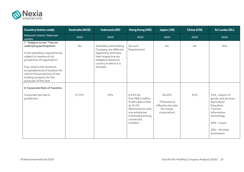

| <b>Country (notes code)</b>                                                                                                                                                                                                                                                                                        | <b>Australia (AUS)</b> | Indonesia (ID)                                                                                                                                                 | Hong Kong (HK)                                                                                                                                             | Japan (JN)                                                                  | China (CN) | <b>Sri Lanka (SL)</b>                                                                                                                                      |
|--------------------------------------------------------------------------------------------------------------------------------------------------------------------------------------------------------------------------------------------------------------------------------------------------------------------|------------------------|----------------------------------------------------------------------------------------------------------------------------------------------------------------|------------------------------------------------------------------------------------------------------------------------------------------------------------|-----------------------------------------------------------------------------|------------|------------------------------------------------------------------------------------------------------------------------------------------------------------|
| Relevant criteria / Date last<br>update                                                                                                                                                                                                                                                                            | 2020                   | 2020                                                                                                                                                           | 2020                                                                                                                                                       | 2020                                                                        | 2020       | 2020                                                                                                                                                       |
| 7 "Subject to tax" Test on<br>underlying participation<br>Is the subsidiary required to be<br>subject to taxation in its<br>jurisdiction of registration?<br>If so, what is the minimum<br>acceptable level of taxation (%<br>rate) in the jurisdiction of the<br>holding company for the<br>purposes of this test | No                     | Subsidiary and Holding<br>Company are different<br>legal entity and have<br>their respective tax<br>obligation based on<br>country in which it is<br>situated. | No such<br>Requirement                                                                                                                                     | No                                                                          | <b>No</b>  | N/A                                                                                                                                                        |
| 8 Corporate Rate of Taxation<br>Corporate tax rate in<br>jurisdiction                                                                                                                                                                                                                                              | 27.5% <sup>4</sup>     | 25%                                                                                                                                                            | 8.25% for<br>first HK\$ 2 million.<br>Profits above that<br>at 16.5%<br>(Restricted to only<br>one enterprise<br>nominated among<br>connected<br>entities) | 30.63%<br>(Theoretical<br>effective tax rate<br>for a large<br>corporation) | 25%        | 14% - export of<br>goods and services<br>Agriculture<br>Education<br>Tourism<br>Information<br>technology<br>40% - Liquor<br>28% - All other<br>businesses |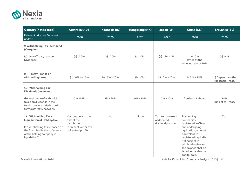

| <b>Country (notes code)</b>                                                                                                                                                   | <b>Australia (AUS)</b>                                                                           | Indonesia (ID)   | Hong Kong (HK) | Japan (JN)                                          | China (CN)                                                                                                                                                                                                                                   | <b>Sri Lanka (SL)</b>                          |
|-------------------------------------------------------------------------------------------------------------------------------------------------------------------------------|--------------------------------------------------------------------------------------------------|------------------|----------------|-----------------------------------------------------|----------------------------------------------------------------------------------------------------------------------------------------------------------------------------------------------------------------------------------------------|------------------------------------------------|
| Relevant criteria / Date last<br>update                                                                                                                                       | 2020                                                                                             | 2020             | 2020           | 2020                                                | 2020                                                                                                                                                                                                                                         | 2020                                           |
| 9 Withholding Tax - Dividend<br>(Outgoing)                                                                                                                                    |                                                                                                  |                  |                |                                                     |                                                                                                                                                                                                                                              |                                                |
| (a) Non-Treaty rate on<br><b>Dividends</b>                                                                                                                                    | (a) $30\%$                                                                                       | (a) $20%$        | 0%<br>(a)      | (a)<br>20.42%                                       | a) 20%<br>levied at the<br>reduced rate of 10%                                                                                                                                                                                               | (a) 14%                                        |
| (b) Treaty-range of<br>withholding taxes                                                                                                                                      | (b) 0% to 15%                                                                                    | (b) $5\% - 20\%$ | (b) 0%         | (b) $0\% - 20\%$                                    | b) $5\% - 15\%$                                                                                                                                                                                                                              | (b) Depends on the<br><b>Applicable Treaty</b> |
| 10 Withholding Tax -<br><b>Dividends (Incoming)</b>                                                                                                                           |                                                                                                  |                  |                |                                                     |                                                                                                                                                                                                                                              |                                                |
| General range of withholding<br>taxes on dividends in the<br>foreign source jurisdiction in<br>terms of treaty network.                                                       | $0\% - 15\%$                                                                                     | $5\% - 20\%$     | $0\% - 15\%$   | $0\% - 20\%$                                        | See item 1 above                                                                                                                                                                                                                             | 14%<br>(Subject to Treaty)                     |
| 11 Withholding Tax -<br><b>Liquidation of Holding Co.</b><br>Is a withholding tax imposed on<br>the final distribution of assets<br>of the holding company in<br>liquidation? | Yes, but only to the<br>extent the<br>distribution<br>represents after tax<br>unfranked profits. | No               | None           | Yes, to the extent<br>of deemed<br>dividend portion | For holding<br>companies<br>registered in China<br>and undergoing<br>liquidation, amount<br>equivalent to<br>registered capital is<br>not subject to<br>withholding tax and<br>the balance shall be<br>taxed as dividend or<br>capital gain. | Yes                                            |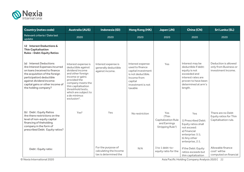

| <b>Country (notes code)</b>                                                                                                                                                                                                                       | <b>Australia (AUS)</b>                                                                                                                                                                                                                                    | Indonesia (ID)                                                        | <b>Hong Kong (HK)</b>                                                                                                                     | Japan (JN)                                                                                  | China (CN)                                                                                                                                             | <b>Sri Lanka (SL)</b>                                                   |
|---------------------------------------------------------------------------------------------------------------------------------------------------------------------------------------------------------------------------------------------------|-----------------------------------------------------------------------------------------------------------------------------------------------------------------------------------------------------------------------------------------------------------|-----------------------------------------------------------------------|-------------------------------------------------------------------------------------------------------------------------------------------|---------------------------------------------------------------------------------------------|--------------------------------------------------------------------------------------------------------------------------------------------------------|-------------------------------------------------------------------------|
| Relevant criteria / Date last<br>update                                                                                                                                                                                                           | 2020                                                                                                                                                                                                                                                      | 2020                                                                  | 2020                                                                                                                                      | 2020                                                                                        | 2020                                                                                                                                                   | 2020                                                                    |
| 12 Interest Deductions &<br><b>Thin Capitalisation</b><br><b>Rules - Debt: Equity Ratios</b>                                                                                                                                                      |                                                                                                                                                                                                                                                           |                                                                       |                                                                                                                                           |                                                                                             |                                                                                                                                                        |                                                                         |
| (a) Interest Deductions<br>Are Interest Expenses incurred<br>on loans (received to finance<br>the acquisition of the foreign<br>participation) deductible<br>against dividend income:<br>capital gains or other income of<br>the holding company? | Interest expense is<br>deductible against<br>dividend income<br>and other foreign<br>income or gains<br>provided the<br>company meets the<br>thin capitalisation<br>threshhold tests,<br>which are subject to<br>a de minimus<br>exclusion <sup>5</sup> . | Interest expense is<br>generally deductible<br>against income.        | Interest expense<br>used to finance<br>capital investment<br>is not deductible.<br>Income from<br>capital<br>investment is not<br>taxable | Yes                                                                                         | Interest may be<br>deductible if debt:<br>equity is not<br>exceeded and<br>interest rates are<br>proven to have been<br>determined at arm's<br>length. | Deduction is allowed<br>only from Business or<br>investment Income.     |
| (b) Debt: Equity Ratios<br>Are there restrictions on the<br>level of non-equity capital<br>financing of theholding<br>company in the form of<br>prescribed Debt: Equity ratios?                                                                   | Yes <sup>6</sup>                                                                                                                                                                                                                                          | Yes                                                                   | No restriction                                                                                                                            | Yes<br>(Thin<br><b>Capitalization Rule</b><br>and Earnings<br>Stripping Rule <sup>1</sup> ) | Yes<br>1) Prescribed Debt:<br>Equity ratios shall<br>not exceed:<br>a) Financial<br>enterprise: 5:1;<br>b) Any other<br>enterprise, 2:1.               | There are no Debt<br>Equity ratios for Thin<br>Capitalisation rule.     |
| Debt: Equity ratio:                                                                                                                                                                                                                               |                                                                                                                                                                                                                                                           | For the purpose of<br>calculating the Income<br>tax is determined the | N/A                                                                                                                                       | 3 to 1 debt-to-<br>equity ratio for the                                                     | If the Debt: Equity<br>ratios exceeds but<br>thin capitalization                                                                                       | Allowable finance<br>cost <sup>1</sup> will be<br>computed on financial |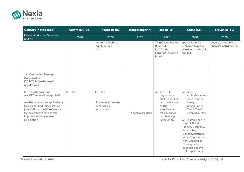

| <b>Country (notes code)</b>                                                                                                                                                                                                               | <b>Australia (AUS)</b> | Indonesia (ID)                                                   | Hong Kong (HK)     | Japan (JN)                                                                                                                                      | China (CN)                                                                                                                                                                                                                                                                                                                | <b>Sri Lanka (SL)</b>                           |
|-------------------------------------------------------------------------------------------------------------------------------------------------------------------------------------------------------------------------------------------|------------------------|------------------------------------------------------------------|--------------------|-------------------------------------------------------------------------------------------------------------------------------------------------|---------------------------------------------------------------------------------------------------------------------------------------------------------------------------------------------------------------------------------------------------------------------------------------------------------------------------|-------------------------------------------------|
| Relevant criteria / Date last<br>update                                                                                                                                                                                                   | 2020                   | 2020                                                             | 2020               | 2020                                                                                                                                            | 2020                                                                                                                                                                                                                                                                                                                      | 2020                                            |
|                                                                                                                                                                                                                                           |                        | amount of debt to<br>equity ratio is<br>4:1                      |                    | Thin Capitalization<br>Rule, but<br>N/A for the<br><b>Earnings Stripping</b><br>Rule <sup>2</sup>                                               | special item file<br>prepared to prove<br>arm-length principle<br>applied.                                                                                                                                                                                                                                                | costs attributable to<br>financial instruments. |
| 13 Controlled Foreign<br>Corporation<br>("CFC") & "anti-abuse"<br>regulations                                                                                                                                                             |                        |                                                                  |                    |                                                                                                                                                 |                                                                                                                                                                                                                                                                                                                           |                                                 |
| (a) CFC Regulations<br>Are CFC regulations applied?<br>Are the regulations applied only<br>to a prescribed "black list" of<br>jurisdictions or with reference<br>to the effective rate of tax<br>imposed in the overseas<br>jurisdiction? | (a) Yes                | (a) Yes<br>The regulations are<br>applied to all<br>jurisdiction | No such regulation | (a) Yes, CFC<br>regulations<br>shall be applied<br>with reference<br>to the<br>effective tax<br>rate imposed<br>in the foreign<br>jurisdiction. | (a) Yes,<br>applicable where<br>tax rate in the<br>foreign<br>jurisdiction is<br>0% - 50% of<br>China's tax rate.<br>CFC established in<br>the US, Britain,<br>France, Germany,<br>Japan, Italy,<br>Canada, Australia,<br>India, South Africa,<br>New Zealand or<br>Norway is not<br>applied to above<br>CFC regulations. |                                                 |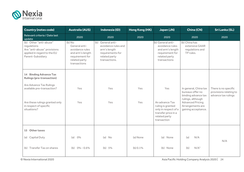

| <b>Country (notes code)</b>                                                                                              | <b>Australia (AUS)</b>                                                                                             | Indonesia (ID)                                                                                                 | Hong Kong (HK) | Japan (JN)                                                                                                         | China (CN)                                                                              | <b>Sri Lanka (SL)</b>                                                 |
|--------------------------------------------------------------------------------------------------------------------------|--------------------------------------------------------------------------------------------------------------------|----------------------------------------------------------------------------------------------------------------|----------------|--------------------------------------------------------------------------------------------------------------------|-----------------------------------------------------------------------------------------|-----------------------------------------------------------------------|
| Relevant criteria / Date last<br>update                                                                                  | 2020                                                                                                               | 2020                                                                                                           | 2020           | 2020                                                                                                               | 2020                                                                                    | 2020                                                                  |
| (b) Other "anti-abuse"<br>regulations<br>Are "anti-abuse" provisions<br>applied in regard to the EU<br>Parent-Subsidiary | (b) No<br>General anti-<br>avoidance rules<br>and arm's length<br>requirement for<br>related party<br>transactions | (b) General anti-<br>avoidance rules and<br>arm's length<br>requirements for<br>related party<br>transactions. |                | (b) General anti-<br>avoidance rules<br>and arm's length<br>requirement for<br>related party<br>transactions       | (b) China has<br>extensive GAAR<br>regulations and<br>TP rules.                         |                                                                       |
| 14 Binding Advance Tax<br><b>Rulings (pre-transaction)</b>                                                               |                                                                                                                    |                                                                                                                |                |                                                                                                                    |                                                                                         |                                                                       |
| Are Advance Tax Rulings<br>available pre-transaction?                                                                    | Yes                                                                                                                | Yes                                                                                                            | Yes            | Yes                                                                                                                | In general, China tax<br>bureaus offer no<br>binding advance tax                        | There is no specific<br>provisions relating to<br>advance tax rulings |
| Are these rulings granted only<br>in respect of specific<br>situations?                                                  | Yes                                                                                                                | Yes                                                                                                            | Yes            | An advance Tax<br>ruling is granted<br>only in respect of a<br>transfer price in a<br>related party<br>transaction | rulings, although<br><b>Advanced Pricing</b><br>Arrangements are<br>gaining acceptance. |                                                                       |
| 15 Other taxes                                                                                                           |                                                                                                                    |                                                                                                                |                |                                                                                                                    |                                                                                         |                                                                       |
| Capital Duty<br>(a)                                                                                                      | $0\%$<br>(a)                                                                                                       | $(a)$ No                                                                                                       | (a) None       | (a) None                                                                                                           | (a)<br>N/A                                                                              | N/A                                                                   |
| (b) Transfer Tax on shares                                                                                               | (b) $0\% - 0.6\%$                                                                                                  | (b) 5%                                                                                                         | (b) 0.1%       | (b) None                                                                                                           | N/A <sup>1</sup><br>(b)                                                                 |                                                                       |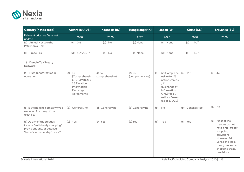

| <b>Country (notes code)</b>                                                                                                 | <b>Australia (AUS)</b>                                                                                     | Indonesia (ID)            | Hong Kong (HK)              | Japan (JN)                                                                                                                                       | China (CN)       | <b>Sri Lanka (SL)</b>                                                                                                                                                     |
|-----------------------------------------------------------------------------------------------------------------------------|------------------------------------------------------------------------------------------------------------|---------------------------|-----------------------------|--------------------------------------------------------------------------------------------------------------------------------------------------|------------------|---------------------------------------------------------------------------------------------------------------------------------------------------------------------------|
| Relevant criteria / Date last<br>update                                                                                     | 2020                                                                                                       | 2020                      | 2020                        | 2020                                                                                                                                             | 2020             | 2020                                                                                                                                                                      |
| (c) Annual Net Worth /<br>Patrimonial Tax                                                                                   | $0\%$<br>(c)                                                                                               | $(c)$ No                  | (c) None                    | (c) None                                                                                                                                         | N/A<br>(c)       |                                                                                                                                                                           |
| (d) Trade Tax                                                                                                               | (d) 10% GST7                                                                                               | $(d)$ No                  | (d) None                    | (d) None                                                                                                                                         | (d)<br>N/A       |                                                                                                                                                                           |
| 16 Double Tax Treaty<br><b>Network</b>                                                                                      |                                                                                                            |                           |                             |                                                                                                                                                  |                  |                                                                                                                                                                           |
| (a) Number of treaties in<br>operation                                                                                      | (a) 46<br>(Comprehensiv<br>e), $9$ (Limited) $\&$<br>36 Taxation<br>Information<br>Exchange<br>Agreements. | (a) 67<br>(comprehensive) | $(a)$ 40<br>(comprehensive) | 63(Comprehe<br>(a)<br>nsive) for 73<br>nations/areas<br>, 11<br>(Exchange of<br>Information<br>Only) for 11<br>nations/areas<br>$(as of 1/1/20)$ | (a) 110          | (a) 44                                                                                                                                                                    |
| (b) Is the holding company type<br>excluded from any of the<br>treaties?                                                    | (b) Generally no                                                                                           | (b) Generally no          | (b) Generally no            | (b)<br>No                                                                                                                                        | (b) Generally No | $(b)$ No                                                                                                                                                                  |
| (c) Do any of the treaties<br>include "anti-treaty shopping"<br>provisions and/or detailed<br>"beneficial ownership" tests? | (c) Yes                                                                                                    | (c) Yes                   | (c) Yes                     | (c)<br>Yes                                                                                                                                       | (c) Yes          | (c) Most of the<br>treaties do not<br>have anti-treaty<br>shopping<br>provisions.<br>However Sri<br>Lanka and India<br>treaty has anti-<br>shopping treaty<br>provisions. |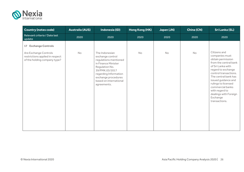

| <b>Country (notes code)</b>                                                              | <b>Australia (AUS)</b> | Indonesia (ID)                                                                                                                                                                                                  | Hong Kong (HK) | Japan (JN) | China (CN) | <b>Sri Lanka (SL)</b>                                                                                                                                                                                                                                                                                              |
|------------------------------------------------------------------------------------------|------------------------|-----------------------------------------------------------------------------------------------------------------------------------------------------------------------------------------------------------------|----------------|------------|------------|--------------------------------------------------------------------------------------------------------------------------------------------------------------------------------------------------------------------------------------------------------------------------------------------------------------------|
| Relevant criteria / Date last<br>update                                                  | 2020                   | 2020                                                                                                                                                                                                            | 2020           | 2020       | 2020       | 2020                                                                                                                                                                                                                                                                                                               |
| 17 Exchange Controls                                                                     |                        |                                                                                                                                                                                                                 |                |            |            |                                                                                                                                                                                                                                                                                                                    |
| Are Exchange Controls<br>restrictions applied in respect<br>of the holding company type? | No                     | The Indonesian<br>exchange control<br>regulations mentioned<br>in Finance Minister<br>Regulation No.<br>39/PMK.03/2017<br>regarding Information<br>exchange procedures<br>based on international<br>agreements. | <b>No</b>      | No         | <b>No</b>  | Citizens and<br>companies must<br>obtain permission<br>from the central bank<br>of Sri Lanka with<br>regard to exchange<br>control transactions.<br>The central bank has<br>issued guidance and<br>rulings to licensed<br>commercial banks<br>with regard to<br>dealings with Foreign<br>Exchange<br>transactions. |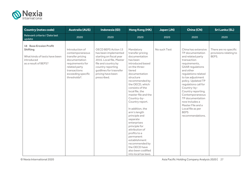

| <b>Country (notes code)</b>                                                                                             | <b>Australia (AUS)</b>                                                                                                                                                          | Indonesia (ID)                                                                                                                                                                                                       | Hong Kong (HK)                                                                                                                                                                                                                                                                                                                                                                                                                                                                                                                | Japan (JN)   | China (CN)                                                                                                                                                                                                                                                                                                                                                                                                | <b>Sri Lanka (SL)</b>                                    |
|-------------------------------------------------------------------------------------------------------------------------|---------------------------------------------------------------------------------------------------------------------------------------------------------------------------------|----------------------------------------------------------------------------------------------------------------------------------------------------------------------------------------------------------------------|-------------------------------------------------------------------------------------------------------------------------------------------------------------------------------------------------------------------------------------------------------------------------------------------------------------------------------------------------------------------------------------------------------------------------------------------------------------------------------------------------------------------------------|--------------|-----------------------------------------------------------------------------------------------------------------------------------------------------------------------------------------------------------------------------------------------------------------------------------------------------------------------------------------------------------------------------------------------------------|----------------------------------------------------------|
| Relevant criteria / Date last<br>update                                                                                 | 2020                                                                                                                                                                            | 2020                                                                                                                                                                                                                 | 2020                                                                                                                                                                                                                                                                                                                                                                                                                                                                                                                          | 2020         | 2020                                                                                                                                                                                                                                                                                                                                                                                                      | 2020                                                     |
| <b>18 Base Erosion Profit</b><br><b>Shifting</b><br>What kinds of tests have been<br>introduced<br>as a result of BEPS? | Introduction of<br>contemporaneous<br>transfer pricing<br>documentation<br>requirements for<br>related party<br>transactions<br>exceeding specific<br>thresholds <sup>8</sup> . | <b>OECD BEPS Action 13</b><br>has been implemented<br>starting on fiscal year<br>2016. Local file, Master<br>file and country by<br>country reporting<br>quidlines for trasnsfer<br>pricing have been<br>prescribed. | Mandatory<br>transfer pricing<br>documentation<br>has been<br>introduced based<br>on the three-<br>tiered<br>documentation<br>structure<br>recommended by<br>the OECD, which<br>consists of the<br>local file, the<br>master file and the<br>Country-by-<br>Country report.<br>In addition, the<br>arm's length<br>principle and<br>separate<br>enterprises<br>principle for<br>attribution of<br>profits to a<br>permanent<br>establishment<br>recommended by<br>the OECD have<br>also been codified<br>into local tax laws. | No such Test | China has extensive<br>TP documentation<br>and related party<br>transaction<br>requirements,<br><b>GAAR</b> regulations<br>and other<br>regulations related<br>to tax adjustment<br>policy. Updated TP<br>regulations call for<br>Country-by-<br>Country reporting.<br>Contemporaneous<br>TP documentation<br>now includes a<br>Master File and a<br>Local file as per<br><b>BEPS</b><br>recommendations. | There are no specific<br>provisions relating to<br>BEPS. |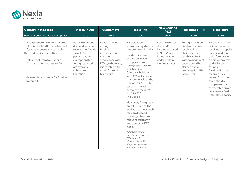

| <b>Country (notes code)</b>                                                                                                                                                                                                                                        | <b>Korea (KOR)</b>                                                                                                                                                                     | <b>Vietnam (VN)</b>                                                                                                                                                        | India (IN)                                                                                                                                                                                                                                                                                                                                                                                                                                                                                                                                                                                                                                                | <b>New Zealand</b><br>(NZ)                                                                                                        | <b>Philippines (PH)</b>                                                                                                                                                                   | <b>Nepal (NP)</b>                                                                                                                                                                                                                                                                                                     |
|--------------------------------------------------------------------------------------------------------------------------------------------------------------------------------------------------------------------------------------------------------------------|----------------------------------------------------------------------------------------------------------------------------------------------------------------------------------------|----------------------------------------------------------------------------------------------------------------------------------------------------------------------------|-----------------------------------------------------------------------------------------------------------------------------------------------------------------------------------------------------------------------------------------------------------------------------------------------------------------------------------------------------------------------------------------------------------------------------------------------------------------------------------------------------------------------------------------------------------------------------------------------------------------------------------------------------------|-----------------------------------------------------------------------------------------------------------------------------------|-------------------------------------------------------------------------------------------------------------------------------------------------------------------------------------------|-----------------------------------------------------------------------------------------------------------------------------------------------------------------------------------------------------------------------------------------------------------------------------------------------------------------------|
| Relevant criteria / Date last update                                                                                                                                                                                                                               | 2020                                                                                                                                                                                   | 2020                                                                                                                                                                       | 2020                                                                                                                                                                                                                                                                                                                                                                                                                                                                                                                                                                                                                                                      | 2020                                                                                                                              | 2020                                                                                                                                                                                      | 2020                                                                                                                                                                                                                                                                                                                  |
| <b>1 Treatment of Dividend Income</b><br>How is Dividend Income treated<br>for tax purposes - in particular, is<br>the dividend income either<br>(a) exempt from tax under a<br>"participation exemption" or<br>(b) taxable with credit for foreign<br>tax credits | Foreign-sourced<br>dividend income<br>received in Koea is<br>taxable (no<br>particiapation<br>exemption) but<br>foreign tax credits<br>are available<br>subject to<br>$limitations1$ . | Dividend income<br>arising from<br>foreign<br>investments is<br>taxed in<br>accordance with<br>DTAs, otherwise,<br>it is taxable with<br>credit for foreign<br>tax credits | Participation<br>exemption system is<br>not prevalent in India.<br>Dividend income<br>earned by Indian<br>company from<br>foreign subsidiary (in<br>which Indian<br>Company holds at<br>least 26% of shares)<br>shall be taxable at the<br>rate of 15%*. In other<br>case, it is taxable at a<br>corporate tax rate*<br>$(i.e.22\%**/$<br>25%/30%)<br>However, foreign tax<br>credit (FTC) shall be<br>available against such<br>foreign dividend<br>income, subject to<br>relevant tax treaty<br>and domestic FTC<br>rules.<br>*Plus applicable<br>surcharge and cess<br>**Rate under<br>Concessional Tax<br>Regime (discussed in<br>point 8 separately) | Foreign-sourced<br>dividend <sup>1</sup><br>income received<br>in New Zealand<br>is not taxable<br>under certain<br>circumstances | Foreign-sourced<br>dividend income<br>received in the<br>Philippines is<br>taxable at 30%.<br>Withholding tax at<br>source could be<br>claimed as tax<br>credit against PH<br>income tax. | Foreign-sourced<br>dividend income<br>received in Nepal is<br>taxable and can<br>claim foreign tax<br>credit for any tax<br>paid in foreign<br>country.<br>Dividend income<br>received by a<br>person from the<br>shares held on<br>companies or a<br>partnership firm is<br>taxable as a final<br>withholding basis. |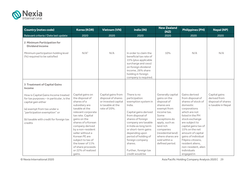

| <b>Country (notes code)</b>                                                                                                                                                                                                 | <b>Korea (KOR)</b>                                                                                                                                                                                                                                                                                                                                 | <b>Vietnam (VN)</b>                                                                                  | India (IN)                                                                                                                                                                                                                                                                                                                | <b>New Zealand</b><br>(NZ)                                                                                                                                                                                                                      | <b>Philippines (PH)</b>                                                                                                                                                                                                                                                                                                                          | <b>Nepal (NP)</b>                                                                         |
|-----------------------------------------------------------------------------------------------------------------------------------------------------------------------------------------------------------------------------|----------------------------------------------------------------------------------------------------------------------------------------------------------------------------------------------------------------------------------------------------------------------------------------------------------------------------------------------------|------------------------------------------------------------------------------------------------------|---------------------------------------------------------------------------------------------------------------------------------------------------------------------------------------------------------------------------------------------------------------------------------------------------------------------------|-------------------------------------------------------------------------------------------------------------------------------------------------------------------------------------------------------------------------------------------------|--------------------------------------------------------------------------------------------------------------------------------------------------------------------------------------------------------------------------------------------------------------------------------------------------------------------------------------------------|-------------------------------------------------------------------------------------------|
| Relevant criteria / Date last update                                                                                                                                                                                        | 2020                                                                                                                                                                                                                                                                                                                                               | 2020                                                                                                 | 2020                                                                                                                                                                                                                                                                                                                      | 2020                                                                                                                                                                                                                                            | 2020                                                                                                                                                                                                                                                                                                                                             | 2020                                                                                      |
| 2 Minimum Participation for<br><b>Dividend income</b>                                                                                                                                                                       |                                                                                                                                                                                                                                                                                                                                                    |                                                                                                      |                                                                                                                                                                                                                                                                                                                           |                                                                                                                                                                                                                                                 |                                                                                                                                                                                                                                                                                                                                                  |                                                                                           |
| Minimum participation holding level<br>(%) required to be satisfied                                                                                                                                                         | N/A <sup>2</sup>                                                                                                                                                                                                                                                                                                                                   | N/A                                                                                                  | In order to claim the<br>beneficial tax rate of<br>15% (plus applicable<br>surcharge and cess)<br>on foreign dividend<br>income, 26% share<br>holding in foreign<br>company is required.                                                                                                                                  | 10%                                                                                                                                                                                                                                             | N/A                                                                                                                                                                                                                                                                                                                                              | N/A                                                                                       |
| <b>3 Treatment of Capital Gains</b><br>Income                                                                                                                                                                               |                                                                                                                                                                                                                                                                                                                                                    |                                                                                                      |                                                                                                                                                                                                                                                                                                                           |                                                                                                                                                                                                                                                 |                                                                                                                                                                                                                                                                                                                                                  |                                                                                           |
| How is Capital Gains Income treated<br>for tax purposes - in particular, is the<br>capital gain either<br>(a) exempt from tax under a<br>"participation exemption" or<br>(b) taxable with credit for foreign tax<br>credits | Capital gains on<br>the disposal of<br>shares of a<br>subsidiary are<br>taxable at the<br>relevant corporate<br>tax rate. Capital<br>gains on the<br>shares of a Korean<br>company derived<br>by a non-resident<br>seller without a<br>Korean PE are<br>subject to tax of<br>the lower of 11%<br>of share proceeds<br>or 22% of realized<br>gains. | Capital gains from<br>disposal of shares<br>or invested capital<br>is taxable at the<br>rate of 20%. | There is no<br>participation<br>exemption system in<br>India.<br>Capital gains derived<br>from disposal of<br>shares of foreign<br>company are taxable<br>in India as long term<br>or short-term gains<br>depending upon<br>period of holding of<br>foreign company<br>shares.<br>Further, foreign tax<br>credit would be | Generally capital<br>gains on the<br>disposal of<br>shares are<br>exempt from<br>income tax.<br>Some<br>exceptions do<br>apply, such as<br>land rich<br>companies<br>(residential land)<br>where shares are<br>sold within a<br>defined period. | Gains derived<br>from disposal of<br>shares of stock of<br>domestic<br>corporations<br>which are not<br>listed in the PH<br>stock exchange<br>are subject to<br>capital gains tax of<br>15% on the net<br>amount of capital<br>gains of individual<br>Filipino citizens,<br>resident aliens.<br>non-resident, alien<br>individuals<br>engaged in | Capital gains<br>derived from<br>disposal of shares<br>is taxable in Nepal<br>$^{\rm 1}.$ |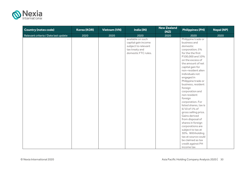

| <b>Country (notes code)</b>          | <b>Korea (KOR)</b> | <b>Vietnam (VN)</b> | India (IN)          | <b>New Zealand</b><br>(NZ) | <b>Philippines (PH)</b> | <b>Nepal (NP)</b> |
|--------------------------------------|--------------------|---------------------|---------------------|----------------------------|-------------------------|-------------------|
| Relevant criteria / Date last update | 2020               | 2020                | 2020                | 2020                       | 2020                    | 2020              |
|                                      |                    |                     | available on such   |                            | Philippine trade or     |                   |
|                                      |                    |                     | capital gain income |                            | business and            |                   |
|                                      |                    |                     | subject to relevant |                            | domestic                |                   |
|                                      |                    |                     | tax treaty and      |                            | corporation; 5%         |                   |
|                                      |                    |                     | domestic FTC rules. |                            | for the the first       |                   |
|                                      |                    |                     |                     |                            | P100,000 and 10%        |                   |
|                                      |                    |                     |                     |                            | on the excess of        |                   |
|                                      |                    |                     |                     |                            | the amount of net       |                   |
|                                      |                    |                     |                     |                            | capital gain for        |                   |
|                                      |                    |                     |                     |                            | non-resident alien      |                   |
|                                      |                    |                     |                     |                            | individuals not         |                   |
|                                      |                    |                     |                     |                            | engaged in              |                   |
|                                      |                    |                     |                     |                            | Philippine trade or     |                   |
|                                      |                    |                     |                     |                            | business, resident      |                   |
|                                      |                    |                     |                     |                            | foreign                 |                   |
|                                      |                    |                     |                     |                            | corporation and         |                   |
|                                      |                    |                     |                     |                            | non resident            |                   |
|                                      |                    |                     |                     |                            | foreign                 |                   |
|                                      |                    |                     |                     |                            | corporation. For        |                   |
|                                      |                    |                     |                     |                            | listed shares, tax is   |                   |
|                                      |                    |                     |                     |                            | 6/10 of 1% of           |                   |
|                                      |                    |                     |                     |                            | gross selling price.    |                   |
|                                      |                    |                     |                     |                            | Gains derived           |                   |
|                                      |                    |                     |                     |                            | from disposal of        |                   |
|                                      |                    |                     |                     |                            | shares in foreign       |                   |
|                                      |                    |                     |                     |                            | corporations are        |                   |
|                                      |                    |                     |                     |                            | subject to tax at       |                   |
|                                      |                    |                     |                     |                            | 30%. Withholding        |                   |
|                                      |                    |                     |                     |                            | tax at source could     |                   |
|                                      |                    |                     |                     |                            | be claimed as tax       |                   |
|                                      |                    |                     |                     |                            | credit against PH       |                   |
|                                      |                    |                     |                     |                            | income tax              |                   |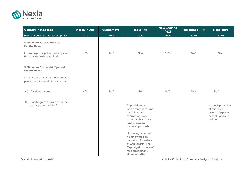

| <b>Country (notes code)</b>                                                                                                       | Korea (KOR) | <b>Vietnam (VN)</b> | India (IN)                                                                                                                                                                               | <b>New Zealand</b><br>(NZ) | <b>Philippines (PH)</b> | <b>Nepal (NP)</b>                                                                  |
|-----------------------------------------------------------------------------------------------------------------------------------|-------------|---------------------|------------------------------------------------------------------------------------------------------------------------------------------------------------------------------------------|----------------------------|-------------------------|------------------------------------------------------------------------------------|
| Relevant criteria / Date last update                                                                                              | 2020        | 2020                | 2020                                                                                                                                                                                     | 2020                       | 2020                    | 2020                                                                               |
| <b>4 Minimum Participation for</b><br><b>Capital Gains</b><br>Minimum participation holding level<br>(%) required to be satisfied | N/A         | N/A                 | N/A                                                                                                                                                                                      | 10%                        | N/A                     | N/A                                                                                |
| 5 Minimum "ownership" period<br>requirements<br>What are the minimum "ownership"<br>period Requirements in respect of:            |             |                     |                                                                                                                                                                                          |                            |                         |                                                                                    |
| (a) Dividend income                                                                                                               | N/A         | N/A                 | N/A                                                                                                                                                                                      | N/A                        | N/A                     | N/A                                                                                |
| (b) Capital gains derived from the<br>participating holding?                                                                      |             |                     | Capital Gains-<br>Given that there is no<br>participation<br>exemption, under<br>Indian tax law, there<br>is no minimum<br>ownership criteria.<br>However, period of<br>holding would be |                            |                         | No such provision<br>of minimum<br>ownership period<br>except Land and<br>building |
|                                                                                                                                   |             |                     | important for nature<br>of Capital gain. The<br>Capital gain on sale of<br>foreign company<br>share would be                                                                             |                            |                         |                                                                                    |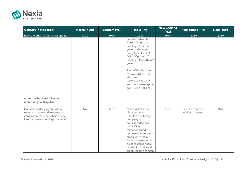

| <b>Country (notes code)</b>                                                                                                                    | <b>Korea (KOR)</b> | <b>Vietnam (VN)</b> | India (IN)                                                                                                                                                                                                                                                                       | <b>New Zealand</b><br>(NZ) | <b>Philippines (PH)</b>                 | <b>Nepal (NP)</b> |
|------------------------------------------------------------------------------------------------------------------------------------------------|--------------------|---------------------|----------------------------------------------------------------------------------------------------------------------------------------------------------------------------------------------------------------------------------------------------------------------------------|----------------------------|-----------------------------------------|-------------------|
| Relevant criteria / Date last update                                                                                                           | 2020               | 2020                | 2020                                                                                                                                                                                                                                                                             | 2020                       | 2020                                    | 2020              |
|                                                                                                                                                |                    |                     | considered as Short<br>Term, if period of<br>holding is less than 2<br>years and it would<br>Long Term Capital<br>Gains, if period of<br>holding is More than 2<br>years.                                                                                                        |                            |                                         |                   |
|                                                                                                                                                |                    |                     | Rate of Capital gain<br>tax would differ for<br>short term<br>$(22**/25\%*/30\%*)$<br>and long-term capital<br>gain (10%*/20%*).                                                                                                                                                 |                            |                                         |                   |
| <b>6 "Active Business" Test on</b><br>underlying participation                                                                                 |                    |                     |                                                                                                                                                                                                                                                                                  |                            |                                         |                   |
| Does the underlying subsidiary<br>require to be an active operating<br>company or can the subsidiary be,<br>itself, a passive holding company? | <b>No</b>          | N/A                 | "Place of Effective<br>Management<br>(POEM)" of a foreign<br>company is<br>considered to be in<br>India, if key<br>manegerial and<br>commercial decisions<br>are taken in India.<br>Such company would<br>be considered as tax<br>resident of India and<br>global income of such | N/A                        | It can be a passive<br>holding company. | N/A               |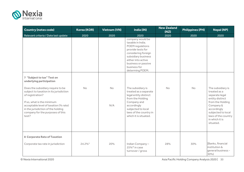

| <b>Country (notes code)</b>                                                                                                                                                                                                                                                                                          | <b>Korea (KOR)</b> | <b>Vietnam (VN)</b> | India (IN)                                                                                                                                                                                                                                                                                                                                                                                                     | <b>New Zealand</b><br>(NZ) | <b>Philippines (PH)</b> | <b>Nepal (NP)</b>                                                                                                                                                                                  |
|----------------------------------------------------------------------------------------------------------------------------------------------------------------------------------------------------------------------------------------------------------------------------------------------------------------------|--------------------|---------------------|----------------------------------------------------------------------------------------------------------------------------------------------------------------------------------------------------------------------------------------------------------------------------------------------------------------------------------------------------------------------------------------------------------------|----------------------------|-------------------------|----------------------------------------------------------------------------------------------------------------------------------------------------------------------------------------------------|
| Relevant criteria / Date last update                                                                                                                                                                                                                                                                                 | 2020               | 2020                | 2020                                                                                                                                                                                                                                                                                                                                                                                                           | 2020                       | 2020                    | 2020                                                                                                                                                                                               |
| 7 "Subject to tax" Test on<br>underlying participation<br>Does the subsidiary require to be<br>subject to taxation in its jurisdiction<br>of registration?<br>If so, what is the minimum<br>acceptable level of taxation (% rate)<br>in the jurisdiction of the holding<br>company for the purposes of this<br>test? | <b>No</b>          | <b>No</b><br>N/A    | company would be<br>taxable in India.<br>POEM regulations<br>provide tests for<br>considering foreign<br>subsidiary business<br>either into active<br>business or passive<br>business for<br>determing POEM.<br>The subsidiary is<br>treated as a separate<br>legal entity distinct<br>from the Holding<br>Company and<br>accordingly<br>subjected to local<br>laws of the country in<br>which it is situated. | <b>No</b>                  | No                      | The subsidiary is<br>treated as a<br>separate legal<br>entity distinct<br>from the Holding<br>Company &<br>accordingly<br>subjected to local<br>laws of the country<br>in which it is<br>situated. |
| 8 Corporate Rate of Taxation<br>Corporate tax rate in jurisdiction                                                                                                                                                                                                                                                   | 24.2%3             | 20%                 | Indian Company-<br>$25\%$ * in case<br>turnover / gross                                                                                                                                                                                                                                                                                                                                                        | 28%                        | 30%                     | [Banks, financial<br>institution &<br>qeneral business -<br>30%)                                                                                                                                   |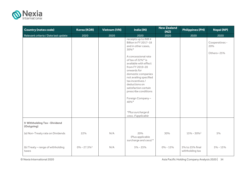

| <b>Country (notes code)</b>                | Korea (KOR)                 | <b>Vietnam (VN)</b> | India (IN)                                                                                                                                                                                                                                                               | <b>New Zealand</b><br>(NZ) | <b>Philippines (PH)</b>            | <b>Nepal (NP)</b>                   |
|--------------------------------------------|-----------------------------|---------------------|--------------------------------------------------------------------------------------------------------------------------------------------------------------------------------------------------------------------------------------------------------------------------|----------------------------|------------------------------------|-------------------------------------|
| Relevant criteria / Date last update       | 2020                        | 2020                | 2020                                                                                                                                                                                                                                                                     | 2020                       | 2020                               | 2020                                |
|                                            |                             |                     | receipts up to INR 4<br>Billion in FY 2017-18<br>and in other cases,<br>30%*<br>A concessional rate<br>of tax of 22%* is<br>available with effect<br>from FY 2019-20<br>onwards for<br>domestic companies<br>not availing specified<br>tax incentives /<br>deductions on |                            |                                    | Cooperatives -<br>20%<br>Others-25% |
|                                            |                             |                     | satisfaction certain<br>prescribe conditions<br>Foreign Company-<br>40%*                                                                                                                                                                                                 |                            |                                    |                                     |
|                                            |                             |                     | *Plus surcharge &<br>cess, if applicable                                                                                                                                                                                                                                 |                            |                                    |                                     |
| 9 Withholding Tax - Dividend<br>(Outgoing) |                             |                     |                                                                                                                                                                                                                                                                          |                            |                                    |                                     |
| (a) Non-Treaty rate on Dividends           | 22%                         | N/A                 | 20%<br>(Plus applicable<br>surcharge and cess) *                                                                                                                                                                                                                         | 30%                        | $15\% - 30\%$ <sup>2</sup>         | 5%                                  |
| (b) Treaty - range of withholding<br>taxes | $0\% - 27.5\%$ <sup>4</sup> | N/A                 | $5\% - 25\%$                                                                                                                                                                                                                                                             | $0\% - 15\%$               | 5% to 25% final<br>withholding tax | $5\% - 15\%$                        |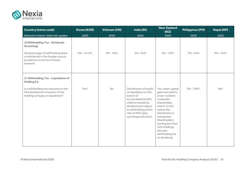

| <b>Country (notes code)</b>                                                                                                                                             | Korea (KOR)      | <b>Vietnam (VN)</b> | India (IN)                                                                                                                                                                                               | <b>New Zealand</b><br>(NZ)                                                                                                                                                                                                                                | <b>Philippines (PH)</b>   | <b>Nepal (NP)</b> |
|-------------------------------------------------------------------------------------------------------------------------------------------------------------------------|------------------|---------------------|----------------------------------------------------------------------------------------------------------------------------------------------------------------------------------------------------------|-----------------------------------------------------------------------------------------------------------------------------------------------------------------------------------------------------------------------------------------------------------|---------------------------|-------------------|
| Relevant criteria / Date last update                                                                                                                                    | 2020             | 2020                | 2020                                                                                                                                                                                                     | 2020                                                                                                                                                                                                                                                      | 2020                      | 2020              |
| 10 Withholding Tax - Dividends<br>(Incoming)<br>General range of withholding taxes<br>on dividends in the foreign source<br>jurisdiction in terms of treaty<br>network. | $0\% - 24.2\%$   | $0\% - 15\%$        | 5%-25%                                                                                                                                                                                                   | $0\% - 15\%$                                                                                                                                                                                                                                              | $5\% - 25\%$              | $0\% - 25\%$      |
| 11 Withholding Tax - Liquidation of<br>Holding Co.<br>Is a withholding tax imposed on the<br>final distribution of assets of the<br>holding company in liquidation?     | Yes <sup>5</sup> | <b>No</b>           | Distribution of assets<br>on liquidation to the<br>extent of<br>accumulated profits<br>shall be treated as<br>dividend and subject<br>to withholding at the<br>rate of 20% (plus<br>surcharge and cess). | Yes, when capital<br>gains are paid to<br>a non-resident<br>corporate<br>shareholder,<br>and/or to the<br>extent the<br>distribution is<br>unimputed.<br>Shareholders<br>owning less than<br>10% holdings<br>also pay<br>withholding tax<br>on dividends. | $0\% - 30\%$ <sup>3</sup> | No <sup>2</sup>   |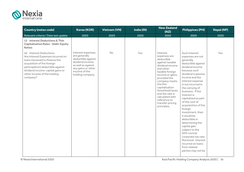

| <b>Country (notes code)</b>                                                                                                                                                                                                                       | <b>Korea (KOR)</b>                                                                                                                                            | <b>Vietnam (VN)</b> | India (IN) | <b>New Zealand</b><br>(NZ)                                                                                                                                                                                                                                                                                   | <b>Philippines (PH)</b>                                                                                                                                                                                                                                                                                                                                                                                                                                                                                                                                    | <b>Nepal (NP)</b> |
|---------------------------------------------------------------------------------------------------------------------------------------------------------------------------------------------------------------------------------------------------|---------------------------------------------------------------------------------------------------------------------------------------------------------------|---------------------|------------|--------------------------------------------------------------------------------------------------------------------------------------------------------------------------------------------------------------------------------------------------------------------------------------------------------------|------------------------------------------------------------------------------------------------------------------------------------------------------------------------------------------------------------------------------------------------------------------------------------------------------------------------------------------------------------------------------------------------------------------------------------------------------------------------------------------------------------------------------------------------------------|-------------------|
| Relevant criteria / Date last update                                                                                                                                                                                                              | 2020                                                                                                                                                          | 2020                | 2020       | 2020                                                                                                                                                                                                                                                                                                         | 2020                                                                                                                                                                                                                                                                                                                                                                                                                                                                                                                                                       | 2020              |
| 12 Interest Deductions & Thin<br><b>Capitalisation Rules - Debt: Equity</b><br><b>Ratios</b>                                                                                                                                                      |                                                                                                                                                               |                     |            |                                                                                                                                                                                                                                                                                                              |                                                                                                                                                                                                                                                                                                                                                                                                                                                                                                                                                            |                   |
| (a) Interest Deductions<br>Are Interest Expenses incurred on<br>loans (received to finance the<br>acquisition of the foreign<br>participation) deductible against<br>dividend income: capital gains or<br>other income of the holding<br>company? | Interest expenses<br>are generally<br>deductible against<br>dividend income,<br>as well as against<br>any gains or other<br>income of the<br>holding company. | No                  | Yes        | Interest<br>expenses are<br>deductible<br>against taxable<br>dividend income<br>and other<br>taxable foreign<br>income or gains,<br>provided the<br>company meets<br>the thin<br>capitalisation<br>threshhold tests<br>and the rate is<br>calculated with<br>reference to<br>transfer pricing<br>principles. | Such interest<br>expenses are not<br>generally<br>deductible against<br>dividend income<br>because such<br>dividend is passive<br>income and the<br>interest expense<br>is not incurred in<br>the carrying of<br>business. If the<br>interest is<br>capitalized as part<br>of the cost of<br>acquisiotion of the<br>foreign<br>investment, then<br>it would be<br>deductible in<br>determining the<br>capital gain<br>subject to the<br>30% normal<br>corporate tax rate.<br>Moreover, interest<br>incurred on loans<br>from related<br>parties may not be | Yes               |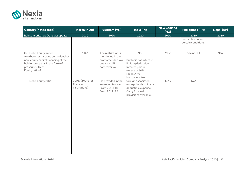

| <b>Country (notes code)</b>                                                                                                                                                                             | <b>Korea (KOR)</b>                 | <b>Vietnam (VN)</b>                                                                                                        | India (IN)                                                                                                                                                          | <b>New Zealand</b><br>(NZ) | <b>Philippines (PH)</b>                 | <b>Nepal (NP)</b> |
|---------------------------------------------------------------------------------------------------------------------------------------------------------------------------------------------------------|------------------------------------|----------------------------------------------------------------------------------------------------------------------------|---------------------------------------------------------------------------------------------------------------------------------------------------------------------|----------------------------|-----------------------------------------|-------------------|
| Relevant criteria / Date last update                                                                                                                                                                    | 2020                               | 2020                                                                                                                       | 2020                                                                                                                                                                | 2020                       | 2020                                    | 2020              |
|                                                                                                                                                                                                         |                                    |                                                                                                                            |                                                                                                                                                                     |                            | deductible under<br>certain conditions. |                   |
| (b) Debt: Equity Ratios<br>Are there restrictions on the level of<br>non-equity capital financing of the<br>holding company in the form of<br>prescribed Debt:<br>Equity ratios?<br>Debt: Equity ratio: | Yes <sup>6</sup><br>200% (600% for | The restriction is<br>mentioned in the<br>draft amended law<br>but it is still in<br>controversial.<br>(as provided in the | No <sup>1</sup><br>But India has interest<br>limiting deduction.<br>Interest paid in<br>excess of 30%<br><b>EBITDA</b> for<br>borrowings from<br>foreign associated | Yes <sup>2</sup><br>60%    | See note 4<br>N/A                       | N/A               |
|                                                                                                                                                                                                         | financial<br>institutions)         | amended tax law)<br>From 2016: 4:1<br>From 2019: 3:1                                                                       | enterprises is not tax-<br>deductible expense.<br>Carry forward<br>provisions available.                                                                            |                            |                                         |                   |
|                                                                                                                                                                                                         |                                    |                                                                                                                            |                                                                                                                                                                     |                            |                                         |                   |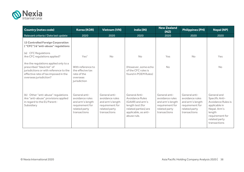

| <b>Country (notes code)</b>                                                                                                                                                     | <b>Korea (KOR)</b>                                                                                       | <b>Vietnam (VN)</b>                                                                                      | India (IN)                                                                                                                              | <b>New Zealand</b><br>(NZ)                                                                               | <b>Philippines (PH)</b>                                                                                  | <b>Nepal (NP)</b>                                                                                                                                  |
|---------------------------------------------------------------------------------------------------------------------------------------------------------------------------------|----------------------------------------------------------------------------------------------------------|----------------------------------------------------------------------------------------------------------|-----------------------------------------------------------------------------------------------------------------------------------------|----------------------------------------------------------------------------------------------------------|----------------------------------------------------------------------------------------------------------|----------------------------------------------------------------------------------------------------------------------------------------------------|
| Relevant criteria / Date last update                                                                                                                                            | 2020                                                                                                     | 2020                                                                                                     | 2020                                                                                                                                    | 2020                                                                                                     | 2020                                                                                                     | 2020                                                                                                                                               |
| <b>13 Controlled Foreign Corporation</b><br>("CFC") & "anti-abuse" regulations                                                                                                  |                                                                                                          |                                                                                                          |                                                                                                                                         |                                                                                                          |                                                                                                          |                                                                                                                                                    |
| (a) CFC Regulations<br>Are CFC regulations applied?                                                                                                                             | Yes <sup>7</sup>                                                                                         | <b>No</b>                                                                                                | <b>No</b>                                                                                                                               | Yes                                                                                                      | <b>No</b>                                                                                                | Yes                                                                                                                                                |
| Are the regulations applied only to a<br>prescribed "black list" of<br>jurisdictions or with reference to the<br>effective rate of tax imposed in the<br>overseas jurisdiction? | With reference to<br>the effecive tax<br>rate of the<br>overseas<br>jurisdiction                         |                                                                                                          | (However, some echo<br>of the CFC rules is<br>found in POEM Rules)                                                                      | <b>No</b>                                                                                                |                                                                                                          | <b>No</b>                                                                                                                                          |
| Other "anti-abuse" regulations<br>(b)<br>Are "anti-abuse" provisions applied<br>in regard to the EU Parent-<br>Subsidiary                                                       | General anti-<br>avoidance rules<br>and arm's length<br>requirement for<br>related party<br>transactions | General anti-<br>avoidance rules<br>and arm's length<br>requirement for<br>related party<br>transactions | General Anti-<br>Avoidance Rules<br>(GAAR) and arm's<br>length test (for<br>related parties) are<br>applicable, as anti-<br>abuse rule. | General anti-<br>avoidance rules<br>and arm's length<br>requirement for<br>related party<br>transactions | General anti-<br>avoidance rules<br>and arm's length<br>requirement for<br>related party<br>transactions | General and<br>Specific Anti-<br>Avoidance Rules is<br>applicable in<br>Nepal. Arm's<br>length<br>requirement for<br>related party<br>transactions |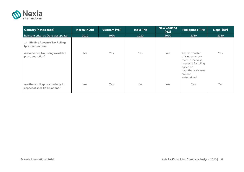

| <b>Country (notes code)</b>                                         | <b>Korea (KOR)</b> | <b>Vietnam (VN)</b> | India (IN) | <b>New Zealand</b><br>(NZ) | <b>Philippines (PH)</b>                                                                                                                    | <b>Nepal (NP)</b> |
|---------------------------------------------------------------------|--------------------|---------------------|------------|----------------------------|--------------------------------------------------------------------------------------------------------------------------------------------|-------------------|
| Relevant criteria / Date last update                                | 2020               | 2020                | 2020       | 2020                       | 2020                                                                                                                                       | 2020              |
| <b>14 Binding Advance Tax Rulings</b><br>(pre-transaction)          |                    |                     |            |                            |                                                                                                                                            |                   |
| Are Advance Tax Rulings available<br>pre-transaction?               | Yes                | Yes                 | Yes        | Yes                        | Yes on transfer<br>pricing arrange-<br>ment; otherwise,<br>requests for ruling<br>based on<br>hypothetical cases<br>are not<br>entertained | Yes               |
| Are these rulings granted only in<br>espect of specific situations? | Yes                | Yes                 | Yes        | Yes                        | <b>Yes</b>                                                                                                                                 | Yes               |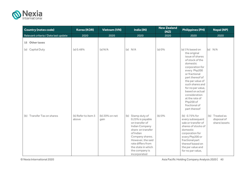

| <b>Country (notes code)</b>          | <b>Korea (KOR)</b>           | <b>Vietnam (VN)</b>    | India (IN)                                                                                                                                                                                                                       | <b>New Zealand</b><br>(NZ) | <b>Philippines (PH)</b>                                                                                                                                                                                                                                                                                                  | <b>Nepal (NP)</b>                             |
|--------------------------------------|------------------------------|------------------------|----------------------------------------------------------------------------------------------------------------------------------------------------------------------------------------------------------------------------------|----------------------------|--------------------------------------------------------------------------------------------------------------------------------------------------------------------------------------------------------------------------------------------------------------------------------------------------------------------------|-----------------------------------------------|
| Relevant criteria / Date last update | 2020                         | 2020                   | 2020                                                                                                                                                                                                                             | 2020                       | 2020                                                                                                                                                                                                                                                                                                                     | 2020                                          |
| 15 Other taxes                       |                              |                        |                                                                                                                                                                                                                                  |                            |                                                                                                                                                                                                                                                                                                                          |                                               |
| (a) Capital Duty                     | (a) 0.48%                    | (a) N/A                | (a) $N/A$                                                                                                                                                                                                                        | (a) 0%                     | (a) 1% based on<br>the original<br>issue of shares<br>of stock of the<br>domestic<br>corporation for<br>every Php200<br>or fractional<br>part thereof of<br>the par value of<br>such shares and<br>for no par value,<br>based on actual<br>consideration<br>at the rate of<br>Php200 of<br>fractional of<br>part thereof | (a) $N/A$                                     |
| (b) Transfer Tax on shares           | (b) Refer to item 3<br>above | (b) 20% on net<br>gain | (b) Stamp duty of<br>0.25% is payable<br>on transfer of<br>Indian Company<br>share on transfer<br>of Indian<br>Company shares.<br>However, the said<br>rate differs from<br>the state in which<br>the company is<br>incorporated | (b) 0%                     | (b) 0.75% for<br>every subsequent<br>sale or transfer of<br>shares of stocks of<br>domestic<br>corporation for<br>every Php200 or<br>fractional part<br>thereof based on<br>the par value and<br>for no par value,                                                                                                       | (b) Treated as<br>disposal of<br>share/assets |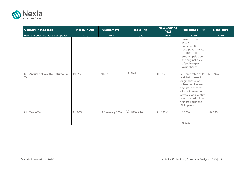

| <b>Country (notes code)</b>               | Korea (KOR)             | <b>Vietnam (VN)</b> | India (IN)       | <b>New Zealand</b><br>(NZ) | <b>Philippines (PH)</b>                                                                                                                                                                                                | <b>Nepal (NP)</b> |
|-------------------------------------------|-------------------------|---------------------|------------------|----------------------------|------------------------------------------------------------------------------------------------------------------------------------------------------------------------------------------------------------------------|-------------------|
| Relevant criteria / Date last update      | 2020                    | 2020                | 2020             | 2020                       | 2020                                                                                                                                                                                                                   | 2020              |
|                                           |                         |                     |                  |                            | based on the<br>actual<br>consideration<br>receipt at the rate<br>of 50% of the<br>amount paid upon<br>the original issue<br>of such no par<br>value shares.                                                           |                   |
| (c) Annual Net Worth / Patrimonial<br>Tax | (c) 0%                  | (c) N/A             | N/A<br>(c)       | (c) 0%                     | (c) Same rates as (a)<br>and (b) in case of<br>original issue or<br>subsequent sale or<br>transfer of shares<br>of stock issued in<br>any foreign country<br>when issued sold or<br>transferred in the<br>Philippines. | $(c)$ N/A         |
| Trade Tax<br>(d)                          | (d) $10\%$ <sup>8</sup> | (d) Generally 10%   | (d) Note $2 & 3$ | (d) $15\%$ <sup>3</sup>    | (d) 0%<br>(e) 12% <sup>1</sup>                                                                                                                                                                                         | (d) $13\%^3$      |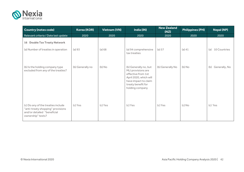

| <b>Country (notes code)</b>                                                                                                 | Korea (KOR)      | <b>Vietnam (VN)</b> | India (IN)                                                                                                                                                   | <b>New Zealand</b><br>(NZ) | <b>Philippines (PH)</b> | <b>Nepal (NP)</b>    |
|-----------------------------------------------------------------------------------------------------------------------------|------------------|---------------------|--------------------------------------------------------------------------------------------------------------------------------------------------------------|----------------------------|-------------------------|----------------------|
| Relevant criteria / Date last update                                                                                        | 2020             | 2020                | 2020                                                                                                                                                         | 2020                       | 2020                    | 2020                 |
| 16 Double Tax Treaty Network                                                                                                |                  |                     |                                                                                                                                                              |                            |                         |                      |
| (a) Number of treaties in operation                                                                                         | (a) 93           | (a) 68              | (a) 94 comprehensive<br>tax treaties                                                                                                                         | (a) 57                     | $(a)$ 41                | 10 Countries<br>(a)  |
| (b) Is the holding company type<br>excluded from any of the treaties?                                                       | (b) Generally no | (b) No              | (b) Generally no, but<br>MLI provisions are<br>effective from 1st<br>April 2020, which will<br>have impact to claim<br>treaty benefit for<br>holding company | (b) Generally No           | (b) No                  | Generally, No<br>(b) |
| (c) Do any of the treaties include<br>"anti-treaty shopping" provisions<br>and/or detailed "beneficial<br>ownership" tests? | (c) Yes          | (c) Yes             | (c) Yes                                                                                                                                                      | (c) Yes                    | $(c)$ No                | (c) Yes              |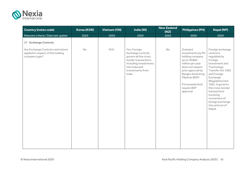

| <b>Country (notes code)</b>                                                                                      | <b>Korea (KOR)</b> | <b>Vietnam (VN)</b> | India (IN)                                                                                                                                                | <b>New Zealand</b><br>(NZ) | <b>Philippines (PH)</b>                                                                                                                                                                     | <b>Nepal (NP)</b>                                                                                                                                                                 |
|------------------------------------------------------------------------------------------------------------------|--------------------|---------------------|-----------------------------------------------------------------------------------------------------------------------------------------------------------|----------------------------|---------------------------------------------------------------------------------------------------------------------------------------------------------------------------------------------|-----------------------------------------------------------------------------------------------------------------------------------------------------------------------------------|
| Relevant criteria / Date last update                                                                             | 2020               | 2020                | 2020                                                                                                                                                      | 2020                       | 2020                                                                                                                                                                                        | 2020                                                                                                                                                                              |
| 17 Exchange Controls<br>Are Exchange Controls restrictions<br>applied in respect of the holding<br>company type? | No                 | N/A                 | Yes. Foreign<br>Exchange controls<br>govern all the cross<br>border transactions<br>including investments<br>into India and<br>investments from<br>India. | $\mathsf{No}$              | Outward<br>investments by PH<br>holding company<br>up to US\$60<br>million per year<br>does not require<br>prior approval by<br>Bangko Sentral ng<br>Pilipinas (BSP)<br>If it exceeds limit | Foreign exchange<br>control is<br>regulated by<br>Foreign<br>Investment and<br>Technology<br>Transfer Act 1992<br>and Foreign<br>Exchange<br>(Regulation) Act<br>1962. It governs |
|                                                                                                                  |                    |                     |                                                                                                                                                           |                            | require BSP<br>approval                                                                                                                                                                     | the cross-border<br>transactions<br>involving<br>movement of<br>foreign exchange<br>into and out of<br>Nepal.                                                                     |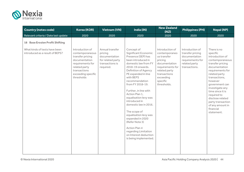

| <b>Country (notes code)</b>                                                                                | <b>Korea (KOR)</b>                                                                                                                                               | <b>Vietnam (VN)</b>                                                                              | India (IN)                                                                                                                                                                                                                                                                                                                                                                                                                                                                                                                  | <b>New Zealand</b><br>(NZ)                                                                                                                                               | <b>Philippines (PH)</b>                                                                                    | <b>Nepal (NP)</b>                                                                                                                                                                                                                                                                                                                   |
|------------------------------------------------------------------------------------------------------------|------------------------------------------------------------------------------------------------------------------------------------------------------------------|--------------------------------------------------------------------------------------------------|-----------------------------------------------------------------------------------------------------------------------------------------------------------------------------------------------------------------------------------------------------------------------------------------------------------------------------------------------------------------------------------------------------------------------------------------------------------------------------------------------------------------------------|--------------------------------------------------------------------------------------------------------------------------------------------------------------------------|------------------------------------------------------------------------------------------------------------|-------------------------------------------------------------------------------------------------------------------------------------------------------------------------------------------------------------------------------------------------------------------------------------------------------------------------------------|
| Relevant criteria / Date last update                                                                       | 2020                                                                                                                                                             | 2020                                                                                             | 2020                                                                                                                                                                                                                                                                                                                                                                                                                                                                                                                        | 2020                                                                                                                                                                     | 2020                                                                                                       | 2020                                                                                                                                                                                                                                                                                                                                |
| <b>18 Base Erosion Profit Shifting</b><br>What kinds of tests have been<br>introduced as a result of BEPS? | Introduction of<br>contemporaneous<br>transfer pricing<br>documentation<br>requirements for<br>related party<br>transactions<br>exceeding specific<br>thresholds | Annual transfer<br>pricing<br>documentation<br>for related party<br>transactions is<br>required. | Concept of<br>Significant Economic<br>Presence (SEP) has<br>been introduced in<br>domestic law from FY<br>2018-19 onwards.<br>Definition of Agency<br>PE expanded in line<br>with BEPS<br>recommendation<br>from FY 2018-19.<br>Further, in line with<br>Action Plan 1,<br>equalisation levy was<br>introduced in<br>domestic law in 2016.<br>The scope of<br>equalisation levy was<br>expanded in 2020<br>(Refer Note 3)<br><b>Action Plan 4</b><br>regarding Limitation<br>on Interest deduction<br>is being implemented. | Introduction of<br>contemporaneo<br>us transfer<br>pricing<br>documentation<br>requirements for<br>related party<br>transactions<br>exceeding<br>specific<br>thresholds. | Introduction of<br>transfer pricing<br>documentation<br>requirements for<br>related party<br>transactions. | There is no<br>specific<br>introduction of<br>contemporaneous<br>transfer pricing<br>documentation<br>requirements for<br>related party<br>transactions,<br>however<br>government can<br>investigate any<br>time since it is<br>required to<br>disclose related<br>party transaction<br>of any amount in<br>financial<br>statement. |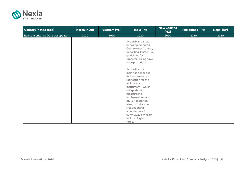

| <b>Country (notes code)</b>          | Korea (KOR) | <b>Vietnam (VN)</b> | India (IN)                                                                                                                                                                                                                                                                                                                                                                                                                                                                            | <b>New Zealand</b><br>(NZ) | <b>Philippines (PH)</b> | <b>Nepal (NP)</b> |
|--------------------------------------|-------------|---------------------|---------------------------------------------------------------------------------------------------------------------------------------------------------------------------------------------------------------------------------------------------------------------------------------------------------------------------------------------------------------------------------------------------------------------------------------------------------------------------------------|----------------------------|-------------------------|-------------------|
| Relevant criteria / Date last update | 2020        | 2020                | 2020                                                                                                                                                                                                                                                                                                                                                                                                                                                                                  | 2020                       | 2020                    | 2020              |
|                                      |             |                     | Action Plan 13 has<br>been implemented.<br>Country-by-Country<br>Reporting, Master File<br>guidelines for<br><b>Transfer Pricing have</b><br>been prescribed.<br>Action Plan 15<br>India has deposited<br>its intrsument of<br>ratification for the<br>Multilateral<br>Instrument-which<br>brings about<br>measures to<br>implement various<br><b>BEPS Action Plan</b><br>Many of India's tax<br>treaties stand<br>amended w.e.f.<br>01.04.2020 owing to<br>MLI coming into<br>force. |                            |                         |                   |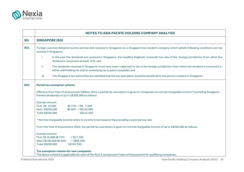

|                 | NOTES TO ASIA PACIFIC HOLDING COMPANY ANALYSIS                                                                                                                                                                            |
|-----------------|---------------------------------------------------------------------------------------------------------------------------------------------------------------------------------------------------------------------------|
| <b>SG</b>       | <b>SINGAPORE (SG)</b>                                                                                                                                                                                                     |
| <b>SG1</b>      | Foreign-sourced dividend income earned and received in Singapore by a Singapore tax resident company which satisfy following conditions are tax<br>exempt in Singapore:                                                   |
|                 | i.<br>In the year the dividends are received in Singapore, the headline (highest) corporate tax rate of the foreign jurisdiction from which the<br>dividend is received is at least 15%; and                              |
|                 | The dividends received in Singapore must have been subjected to tax in the foreign jurisdiction from which the dividend is received (i.e.<br>ii.<br>either withholding tax and/or underlying tax is paid or payable); and |
|                 | iii.<br>The Singapore tax authorities are satisfied that the tax exemption would be beneficial to the person resident in Singapore                                                                                        |
| SG <sub>2</sub> | <b>Partial tax exemption scheme</b>                                                                                                                                                                                       |
|                 | Effective from Year of Assessment 2008 to 2019, a partial tax exemption is given to companies on normal chargeable income* (excluding Singapore<br>franked dividends) of up to S\$300,000 as follows:                     |
|                 | Exempt amount<br>First S\$ 10,000<br>$@75\% = S$$ 7,500<br>Next S\$290,000<br>$@50\% = $145,000$<br>Total S\$300,000<br>S\$152,500                                                                                        |
|                 | * Normal chargeable income refers to income to be taxed at the prevailing corporate tax rate.                                                                                                                             |
|                 | From the Year of Assessment 2020, the partial tax exemption is given on normal chargeable income of up to S\$200,000 as follows:                                                                                          |
|                 | Exempt amount<br>First S\$ 10,000 @ 75%<br>$=$ S\$ 7,500<br>Next S\$190,000 @ 50%<br>$=$ S\$95,000<br>Total S\$200,000<br>S\$102,500                                                                                      |
|                 | Tax exemption scheme for new companies<br>The above scheme is applicable for each of the first 3 consecutive Years of Assessment for qualifying companies.                                                                |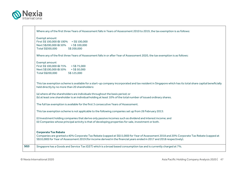

| Where any of the first three Years of Assessment falls in Years of Assessment 2010 to 2019, the tax exemption is as follows:                                                                                                                                                                         |
|------------------------------------------------------------------------------------------------------------------------------------------------------------------------------------------------------------------------------------------------------------------------------------------------------|
| Exempt amount                                                                                                                                                                                                                                                                                        |
| First S\$ 100,000 @ 100% = S\$ 100,000                                                                                                                                                                                                                                                               |
| $=$ S\$ 100,000<br>Next S\$200,000 @ 50%                                                                                                                                                                                                                                                             |
| Total S\$300,000<br>S\$ 200,000                                                                                                                                                                                                                                                                      |
| Where any of the first three Years of Assessment falls in or after Year of Assessment 2020, the tax exemption is as follows:                                                                                                                                                                         |
| Exempt amount                                                                                                                                                                                                                                                                                        |
| First S\$ 100,000 @ 75%<br>$=$ S\$ 75,000                                                                                                                                                                                                                                                            |
| Next S\$100,000 @ 50% = S\$50,000                                                                                                                                                                                                                                                                    |
| Total S\$200,000<br>S\$ 125,000                                                                                                                                                                                                                                                                      |
| This tax exemption scheme is available for a start-up company incorporated and tax resident in Singapore which has its total share capital beneficially<br>held directly by no more than 20 shareholders:                                                                                            |
| (a) where all the shareholders are individuals throughout the basis period; or<br>(b) at least one shareholder is an individual holding at least 10% of the total number of issued ordinary shares.                                                                                                  |
| The full tax exemption is available for the first 3 consecutive Years of Assessment.                                                                                                                                                                                                                 |
| This tax exemption scheme is not applicable to the following companies set up from 26 February 2013:                                                                                                                                                                                                 |
| (i) Investment holding companies that derive only passive incomes such as dividend and interest income; and                                                                                                                                                                                          |
| (ii) Companies whose principal activity is that of developing properties for sale, investment or both.                                                                                                                                                                                               |
| <b>Corporate Tax Rebate</b><br>Companies are granted a 40% Corporate Tax Rebate (capped at S\$15,000) for Year of Assessment 2018 and 20% Corporate Tax Rebate (capped at<br>S\$10,000) for Year of Assessment 2019 (for income derived in the financial years ended in 2017 and 2018 respectively). |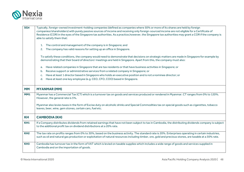

| SG4             | Typically, foreign-owned investment-holding companies (defined as companies where 50% or more of its shares are held by foreign                                                                                                                                                                                  |
|-----------------|------------------------------------------------------------------------------------------------------------------------------------------------------------------------------------------------------------------------------------------------------------------------------------------------------------------|
|                 | companies/shareholders) with purely passive sources of income and receiving only foreign-sourced income are not eligible for a Certificate of<br>Residence (COR) in the eyes of the Singapore tax authorities. As a practice, however, the Singapore tax authorities may grant a COR if the company is           |
|                 | able to satisfy them that:                                                                                                                                                                                                                                                                                       |
|                 |                                                                                                                                                                                                                                                                                                                  |
|                 | 1. The control and management of the company is in Singapore; and                                                                                                                                                                                                                                                |
|                 | The company has valid reasons for setting up an office in Singapore.<br>2.                                                                                                                                                                                                                                       |
|                 | To satisfy these conditions, the company would need to demonstrate that decisions on strategic matters are made in Singapore for example by<br>demonstrating that their board of directors' meetings are held in Singapore. Apart from this, the company must also:                                              |
|                 |                                                                                                                                                                                                                                                                                                                  |
|                 | a. Have related companies in Singapore that are tax residents or that have business activities in Singapore; or                                                                                                                                                                                                  |
|                 | Receive support or administrative services from a related company in Singapore; or<br>b.                                                                                                                                                                                                                         |
|                 | Have at least 1 director based in Singapore who holds an executive position and is not a nominee director; or<br>c.                                                                                                                                                                                              |
|                 | Have at least one key employee (e.g. CEO, CFO, COO) based in Singapore.<br>d.                                                                                                                                                                                                                                    |
|                 |                                                                                                                                                                                                                                                                                                                  |
| <b>MM</b>       | <b>MYANMAR (MM)</b>                                                                                                                                                                                                                                                                                              |
| <b>MM1</b>      | Myanmar has a Commercial Tax (CT) which is a turnover tax on goods and services produced or rendered in Myanmar. CT ranges from 0% to 120%.<br>However, the general rate is 5%.                                                                                                                                  |
|                 | Myanmar also levies taxes in the form of Excise duty on alcoholic drinks and Special Commodities tax on special goods such as cigarettes, tobacco<br>leaves, beer, wine, gem stones, certain cars, fuel etc.                                                                                                     |
| <b>KH</b>       | <b>CAMBODIA (KH)</b>                                                                                                                                                                                                                                                                                             |
| KH1             | If a Company distributes dividends from retained earnings that have not been subject to tax in Cambodia, the distributing dividends company is subject<br>to the additional profit tax on dividend distributions at a 20% rate.                                                                                  |
| KH <sub>2</sub> | The tax rate on profits ranges from 0% to 30%, based on the business activity. The standard rate is 20%. Enterprises operating in certain industries,<br>such as oil and natural gas production or exploitation of natural resources including timber, ore, gold and precious stones, are taxable at a 30% rate. |
|                 |                                                                                                                                                                                                                                                                                                                  |
| KH <sub>3</sub> | Cambodia has turnover tax in the form of VAT which is levied on taxable supplies which includes a wide range of goods and services supplied in<br>Cambodia and on the importation of goods.                                                                                                                      |
|                 |                                                                                                                                                                                                                                                                                                                  |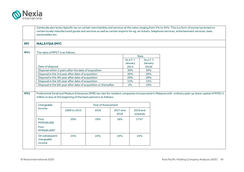

| <b>MALAYSIA (MY)</b>                        |                                                                     |                    |                  |                               |                                |  |                                                                                                                                                       |
|---------------------------------------------|---------------------------------------------------------------------|--------------------|------------------|-------------------------------|--------------------------------|--|-------------------------------------------------------------------------------------------------------------------------------------------------------|
| The rates of RPGT is as follows:            |                                                                     |                    |                  |                               |                                |  |                                                                                                                                                       |
|                                             |                                                                     |                    |                  |                               | Rate                           |  |                                                                                                                                                       |
| Date of disposal                            |                                                                     |                    |                  | (w.e.f. 1)<br>January<br>2014 | (w.e.f. 1)<br>January<br>2019) |  |                                                                                                                                                       |
|                                             | Disposal within 2 years after the date of acquisition               |                    |                  | 30%                           | 30%                            |  |                                                                                                                                                       |
|                                             | Disposal in the 3rd year after date of acquisition                  |                    |                  | 30%                           | 30%                            |  |                                                                                                                                                       |
|                                             | Disposal in the 4th year after date of acquisition                  |                    |                  | 20%                           | 20%                            |  |                                                                                                                                                       |
|                                             | Disposal in the 5th year after date of acquisition                  |                    |                  | 15%                           | 15%                            |  |                                                                                                                                                       |
|                                             |                                                                     |                    |                  |                               |                                |  |                                                                                                                                                       |
|                                             | Disposal in the 6th year after date of acquisition or thereafter    |                    |                  | 5%                            | 10%                            |  | Preferential Small and Medium Enterprise (SME) tax rate for resident companies incorporated in Malaysia with ordinary paid-up share capital of MYR2.5 |
| Chargeable                                  | million or less at the beginning of the basis period is as follows: | Year of Assessment |                  |                               |                                |  |                                                                                                                                                       |
| income                                      | 2009 to 2015                                                        | 2016               | 2017 and<br>2018 |                               | 2019 and<br>onwards            |  |                                                                                                                                                       |
| First<br>MYR500,000<br>First<br>MYR600,000* | 20%                                                                 | 19%                | 18%              |                               | $17\%$ <sup>*</sup>            |  |                                                                                                                                                       |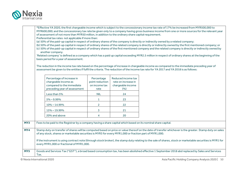

\*Effective YA 2020, the first chargeable income which is subject to the concessionary income tax rate of 17% be increased from MYR500,000 to MYR600,000; and the concessionary tax rate be given only to a company having gross business income from one or more sources for the relevant year of assessment of not more than MYR50 million, in addition to the ordinary share capital requirement.

Preferential tax rates not applicable if more than:

(a) 50% of the paid-up capital in respect of ordinary shares of the company is directly or indirectly owned by a related company;

- (b) 50% of the paid-up capital in respect of ordinary shares of the related company is directly or indirectly owned by the first mentioned company; or
- (c) 50% of the paid-up capital in respect of ordinary shares of the first mentioned company and the related company is directly or indirectly owned by another company.

'Related company' is defined as a company which has a paid up capital exceeding MYR2.5 million in respect of ordinary shares at the beginning of the basis period for a year of assessment.

The reduction in the income tax rate based on the percentage of increase in chargeable income as compared to the immediate preceding year of assessment be given to the entities if fulfil the criteria. The reduction of the income tax rate for YA 2017 and YA 2018 is as follows:

|  | Percentage of increase in<br>chargeable income as<br>compared to the immediate<br>preceding year of assessment | Percentage<br>point reduction<br>on income tax<br>rate | Reduced income tax<br>rate on increase in<br>chargeable income<br>(%) |
|--|----------------------------------------------------------------------------------------------------------------|--------------------------------------------------------|-----------------------------------------------------------------------|
|  | Less than 5%                                                                                                   | <b>NIL</b>                                             | 24                                                                    |
|  | $5% - 9.99%$                                                                                                   |                                                        | 23                                                                    |
|  | $10\% - 14.99\%$                                                                                               |                                                        | 22                                                                    |
|  | $15\% - 19.99\%$                                                                                               | 3                                                      | 21                                                                    |
|  | 20% and above                                                                                                  |                                                        |                                                                       |

**MY3** Fees to be paid to the Registrar by a company having a share capital which based on its nominal share capital.

**MY4** Stamp duty on transfer of shares will be computed based on price or value thereof on the date of transfer whichever is the greater. Stamp duty on sales of any stock, shares or marketable securities is MYR3 for every MYR1,000 or fraction part of MYR1,000.

If the instrument is using contract note (through stock broker), the stamp duty relating to the sale of shares, stock or marketable securities is MYR1 for every MYR1,000 or fractional of MYR1,000.

MY5 Goods and Services Tax ("GST"), a broad based consumption tax, has been abolished effective 1 September 2018 abd replaced by Sales and Services Tax.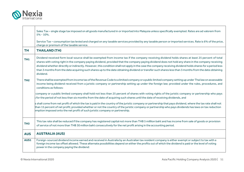

|                 | Sales Tax - single stage tax imposed on all goods manufactured in or imported into Malaysia unless specifically exempted. Rates are ad valorem from<br>$5% - 10%$ .                                                                                                                                                                                                                                                                                                                                                                                                                                                                            |
|-----------------|------------------------------------------------------------------------------------------------------------------------------------------------------------------------------------------------------------------------------------------------------------------------------------------------------------------------------------------------------------------------------------------------------------------------------------------------------------------------------------------------------------------------------------------------------------------------------------------------------------------------------------------------|
|                 | Service Tax - consumption tax levied and charged on any taxable services provided by any taxable person or imported services. Rate is 6% of the price,<br>charge or premium of the taxable service.                                                                                                                                                                                                                                                                                                                                                                                                                                            |
| <b>TH</b>       | <b>THAILAND (TH)</b>                                                                                                                                                                                                                                                                                                                                                                                                                                                                                                                                                                                                                           |
| TH <sub>1</sub> | Dividend received form local-source shall be exempted from income tax if the company receiving dividend holds shares at least 25 percent of total<br>shares with voting right in the company paying dividend, provided that the company paying dividend does not hold any share in the company receiving<br>dividend whether directlly or indirectly. However, this condition shall not apply in the case the company receiving dividend holds shares for a period less<br>than 3 months from the date acquiring such shares up to the date obtaining dividend or transfer such shares less than 3 months from the date obtaining<br>dividend. |
| TH <sub>2</sub> | There shall be exempted from income tax of the Revenue Code to a limited company or a public limited company setting up under Thai law on assessable<br>income being dividend received from a juristic company or partnership setting up under the foreign law; provided under the rules, procedures, and<br>conditions as follows:<br>company or a public limited company shall hold not less than 25 percent of shares with voting rights of the juristic company or partnership who pays                                                                                                                                                    |
|                 | for the period of not less than six months from the date of acquiring such shares until the date of receiving dividends, and                                                                                                                                                                                                                                                                                                                                                                                                                                                                                                                   |
|                 | s shall come from net profit of which the tax is paid in the country of the juristic company or partnership that pays dividend, where the tax rate shall not<br>than 15 percent of net profit; provided whether or not the country of the juristic company or partnership who pays dividends has laws on tax reduction<br>emption imposed onto the net profit of such juristic company or partnership.                                                                                                                                                                                                                                         |
| TH <sub>3</sub> | This tax rate shall be reduced if the company has registered capital not more than THB 5 milllion baht and has income from sale of goods or provision<br>of service of not more than THB 30 million baht consecutively for the net profit arising in the accounting period.                                                                                                                                                                                                                                                                                                                                                                    |
| <b>AUS</b>      | <b>AUSTRALIA (AUS)</b>                                                                                                                                                                                                                                                                                                                                                                                                                                                                                                                                                                                                                         |
| AUS1            | Foreign-sourced dividend income earned and received in Australia by an Australian tax resident company is either exempt or subject to tax with a<br>foreign income tax offset allowed. These alternate possibilities depend on either the profits out of which the dividend is paid or the level of voting<br>power in the company paying the dividend:                                                                                                                                                                                                                                                                                        |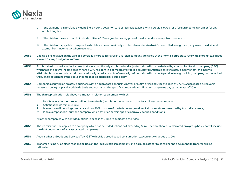

|             | If the dividend is a portfolio dividend (i.e. a voting power of 10% or less) it is taxable with a credit allowed for a foreign income tax offset for any<br>withholding tax.                                                                                                                                                                                                                                                                                                                                                               |
|-------------|--------------------------------------------------------------------------------------------------------------------------------------------------------------------------------------------------------------------------------------------------------------------------------------------------------------------------------------------------------------------------------------------------------------------------------------------------------------------------------------------------------------------------------------------|
|             | If the dividend is a non-portfolio dividend (i.e. a 10% or greater voting power) the dividend is exempt from income tax.<br>ii.                                                                                                                                                                                                                                                                                                                                                                                                            |
|             | iii. If the dividend is payable from profits which have been previously attributable under Australia's controlled foreign company rules, the dividend is<br>exempt from income tax when received.                                                                                                                                                                                                                                                                                                                                          |
| <b>AUS2</b> | Capital gains realized on the sale of a portfolio interest in shares in a foreign company are taxed at the normal corpoprate rate with a foreign tax offset<br>allowed for any foreign tax suffered.                                                                                                                                                                                                                                                                                                                                       |
| AUS3        | Attributable income includes income that is unconditionally attributed and adjusted tainted income derived by a controlled foreign company (CFC)<br>which fails the active income test. Where a CFC resident in a comparatively taxed country to Australia fails the active income test, the income<br>attributable includes only certain concessionally taxed amounts of narrowly defined tainted income. A passive foreign holding company can be looked<br>through to determine if the active income test is satisfied by a subsidiary. |
| <b>AUS4</b> | Companies carrying on an active business with an aggregated annual turnover of \$50m or less pay tax at a rate of 27.5%. Aggregated turnover is<br>measured on a group and worldwide basis and not just at the specific company level. All other companies pay tax at a rate of 30%.                                                                                                                                                                                                                                                       |
| AUS5        | The thin capitalisation rules have no impact in relation to a company which:                                                                                                                                                                                                                                                                                                                                                                                                                                                               |
|             | Has its operations entirely confined to Australia (i.e. it is neither an inward or outward investing company);<br>i.<br>Satisfies the de minimus rule;<br>ii.<br>Is an outward investing company and has 90% or more of the total average value of all its assets represented by Australian assets;<br>iii.                                                                                                                                                                                                                                |
|             | Is an exempt special purpose company which satisfies certain specific narrowly defined conditions.<br>iv.                                                                                                                                                                                                                                                                                                                                                                                                                                  |
|             | All other companies with debt deductions in excess of \$2m are subject to the rules.                                                                                                                                                                                                                                                                                                                                                                                                                                                       |
| AUS6        | The de minimus rule applies to a company which has debt deductions not exceeding \$2m. The threshhold is calculated on a group basis, so will include<br>the debt deductions of any associated companies.                                                                                                                                                                                                                                                                                                                                  |
| <b>AUS7</b> | Australia has a Goods and Services Tax (GST) which is a broad based consumption tax currently charged at 10%.                                                                                                                                                                                                                                                                                                                                                                                                                              |
| <b>AUS8</b> | Transfer pricing rules place responsibilities on the local Australian company and its public officer to consider and document its transfer pricing<br>rationale.                                                                                                                                                                                                                                                                                                                                                                           |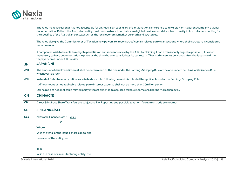

|                 | The rules make it clear that it is not acceptable for an Australian subsidiary of a multinational enterprise to rely solely on its parent company's global<br>documentation. Rather, the Australian entity must demonstrate how that overall global business model applies in reality in Australia - accounting for<br>the specifics of the Australian context such as the local economy, market strength and strategies. |
|-----------------|---------------------------------------------------------------------------------------------------------------------------------------------------------------------------------------------------------------------------------------------------------------------------------------------------------------------------------------------------------------------------------------------------------------------------|
|                 | The rules also give the Commissioner of Taxation new powers to 'reconstruct' certain related party transactions where their structure is considered<br>uncommercial.                                                                                                                                                                                                                                                      |
|                 | If companies wish to be able to mitigate penalties on subsequent review by the ATO by claiming it had a 'reasonably arguable position', it is now<br>mandatory to have documentation in place by the time the company lodges its tax return. That is, this cannot be argued after the fact should the<br>taxpayer come under ATO review.                                                                                  |
| <b>JN</b>       | <b>JAPAN(JN)</b>                                                                                                                                                                                                                                                                                                                                                                                                          |
| <b>JN1</b>      | The amount of disallowed interest shall be determined as the one under the Earnings Stripping Rule or the one under the Thin Capitalization Rule,<br>whichever is larger.                                                                                                                                                                                                                                                 |
| J <sub>N2</sub> | Instead of Debt-to-equity ratio as a safe harbore rule, following de minimis rule shall be applicable under the Earnings Stripping Rule.                                                                                                                                                                                                                                                                                  |
|                 | (1) The amount of net applicable related party interest expense shall not be more than 20 million yen or                                                                                                                                                                                                                                                                                                                  |
|                 | (2) The ratio of net applicable related party interest expense to adjusted taxable income shall not be more than 20%.                                                                                                                                                                                                                                                                                                     |
| <b>CN</b>       | <b>CHINA(CN)</b>                                                                                                                                                                                                                                                                                                                                                                                                          |
| CN <sub>1</sub> | Direct & Indirect Share Transfers are subject to Tax Reporting and possible taxation if certain critreria are not met.                                                                                                                                                                                                                                                                                                    |
| <b>SL</b>       | <b>SRI LANKA(SL)</b>                                                                                                                                                                                                                                                                                                                                                                                                      |
| SL <sub>1</sub> | Allowable Finance Cost = A x B                                                                                                                                                                                                                                                                                                                                                                                            |
|                 | C                                                                                                                                                                                                                                                                                                                                                                                                                         |
|                 | Where:                                                                                                                                                                                                                                                                                                                                                                                                                    |
|                 | 'A' is the total of the issued share capital and                                                                                                                                                                                                                                                                                                                                                                          |
|                 | reserves of the entity; and                                                                                                                                                                                                                                                                                                                                                                                               |
|                 | $'B'$ is $-$                                                                                                                                                                                                                                                                                                                                                                                                              |
|                 | (a) in the case of a manufacturing entity, the                                                                                                                                                                                                                                                                                                                                                                            |
|                 | Asia Pacific Holding Company Analysis 2020   53<br>© Nexia International 2020                                                                                                                                                                                                                                                                                                                                             |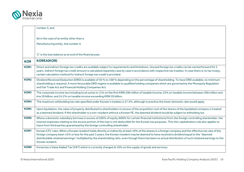

|             | number 3; and                                                                                                                                                                                                                                                                                                                                                                                                                                                                         |  |
|-------------|---------------------------------------------------------------------------------------------------------------------------------------------------------------------------------------------------------------------------------------------------------------------------------------------------------------------------------------------------------------------------------------------------------------------------------------------------------------------------------------|--|
|             | (b) in the case of an entity other than a                                                                                                                                                                                                                                                                                                                                                                                                                                             |  |
|             | Manufacturing entity, the number 4.                                                                                                                                                                                                                                                                                                                                                                                                                                                   |  |
|             | 'C' is the loan balance as at end of the financial year.                                                                                                                                                                                                                                                                                                                                                                                                                              |  |
| <b>KOR</b>  | <b>KOREA(KOR)</b>                                                                                                                                                                                                                                                                                                                                                                                                                                                                     |  |
| <b>KOR1</b> | Direct and indirect foreign tax credits are available subject to requirements and limitations. Unused foreign tax credits can be carried forward for 5<br>years. Indirect foreign tax credit amount is calculated separtely case by case in accordance with respective tax treaties. In case there is no tax treaty,<br>certain calculation method for indirect foreign tax credit is provided.                                                                                       |  |
| <b>KOR2</b> | Dividend Received Deduction (DRD) is available of 30 % to 100 % depending on the percentage of shareholding. To have DRD available, no minimum<br>shareholding is required. A more favourable DRD regime is available to qualified holding companies which are governed by the Monopoly Regulation<br>and Fair Trade Act and Financial Holding Companies Act.                                                                                                                         |  |
| <b>KOR3</b> | The corporate income tax including local surtax is 11% on the first KRW 200 million of taxable income; 22% on taxable income between 200 million and<br>krw 20 billion; and 24.2% on taxable income exceeding KRW 20 billion.                                                                                                                                                                                                                                                         |  |
| <b>KOR4</b> | The maximum withholding tax rate specified under Korean's treaties is 27.5%, although in practice the lower domestic rate would apply.                                                                                                                                                                                                                                                                                                                                                |  |
| <b>KOR5</b> | Upon liquidation, the value of property distributed to shareholders in excess of the acquisition cost of the shares of the liquidated company is treated<br>as a deemed dividend. If the shareholder is a non-resident without a Korean PE, the deemed dividend would be subject to witholding tax.                                                                                                                                                                                   |  |
| <b>KOR6</b> | Where a domestic subsidiary borrows in excess of 200% of equity (600% for certain financial institutions) from the foreign controlling shareholder, the<br>interest expenses relating to the excess portion of the loan is not deductible for the Korean tax purposes. This thin capitalization rule also applies to<br>loans from third parties guaranteed by the foreign controlling shareholder.                                                                                   |  |
| <b>KOR7</b> | Korean CFC rules: When a Korean resident holds directly or indirectly at least 10% of the shares in a foreign company and the effective tax rate of the<br>foreign company been 15% or less for the past 3 years, the Korean resident may be deemed to have received a dividend equal to the "deemed<br>distributable retained earnings" multiplied by the shareholding ratio, even though there has been no actual distribution of such retained earnings to the<br>Korean resident. |  |
| <b>KOR8</b> | Korea has a Value Added Tax (VAT) which is currently charged at 10% on the supply of goods and services.                                                                                                                                                                                                                                                                                                                                                                              |  |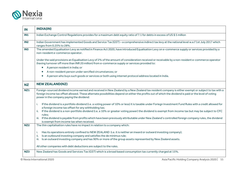

| IN              | <b>INDIA(IN)</b>                                                                                                                                                                                                                                                                                                                                          |
|-----------------|-----------------------------------------------------------------------------------------------------------------------------------------------------------------------------------------------------------------------------------------------------------------------------------------------------------------------------------------------------------|
| <b>IN1</b>      | Indian Exchange Control Regulations provides for a maximum debt equity ratio of 7:1 for debts in excess of US\$5 million                                                                                                                                                                                                                                  |
| IN <sub>2</sub> | Indian Government has implemented Goods and Service Tax (GST) - a comprehensive indirect tax levy at the national level w.e.f 1st July 2017 which<br>ranges from 0.25% to 28%.                                                                                                                                                                            |
| <b>IN3</b>      | The amended Equalisation Levy as notified in Finance Act 2020, have introduced Equalisation Levy on e-commerce supply or services provided by a<br>non-resident e-commerce operator.                                                                                                                                                                      |
|                 | Under the said provisions an Equalisation Levy of 2% of the amount of consideration received or receivable by a non-resident e-commerce operator<br>(having turnover off more than INR 20 million) from e-commerce supply or services provided to:                                                                                                        |
|                 | A person resident in India; or<br>$\bullet$                                                                                                                                                                                                                                                                                                               |
|                 | A non-resident person under sercified circumstances; or<br>$\bullet$                                                                                                                                                                                                                                                                                      |
|                 | A person who buys such goods or services or both using internet protocol address located in India.<br>$\bullet$                                                                                                                                                                                                                                           |
| <b>NZ</b>       | <b>NEW ZEALAND(NZ)</b>                                                                                                                                                                                                                                                                                                                                    |
| <b>NZ1</b>      | Foreign-sourced dividend income earned and received in New Zealand by a New Zealand tax resident company is either exempt or subject to tax with a<br>foreign income tax offset allowed. These alternate possibilities depend on either the profits out of which the dividend is paid or the level of voting<br>power in the company paying the dividend: |
|                 | If the dividend is a portfolio dividend (i.e. a voting power of 10% or less) it is taxable under Foriegn Investment Fund Rules with a credit allowed for<br>i.<br>a foreign income tax offset for any withholding tax;                                                                                                                                    |
|                 | If the dividend is a non-portfolio dividend (i.e. a 10% or greater voting power) the dividend is exempt from income tax but may be subject to CFC<br>ii.<br>rules:                                                                                                                                                                                        |
|                 | iii. If the dividend is payable from profits which have been previously attributable under New Zealand's controlled foreign company rules, the dividend<br>is exempt from income tax when received.                                                                                                                                                       |
| NZ <sub>2</sub> | The thin capitalisation rules have no impact in relation to a company which:                                                                                                                                                                                                                                                                              |
|                 | Has its operations entirely confined to NEW ZEALAND (i.e. it is neither an inward or outward investing company);<br>i.<br>Is an outbound investing company and satisfies the de minimus rule;<br>ii.                                                                                                                                                      |
|                 | iii. Is an outward investing company and has 90% or more of the group assets represented by New Zealand assets.                                                                                                                                                                                                                                           |
|                 | All other companies with debt deductions are subject to the rules.                                                                                                                                                                                                                                                                                        |
| NZ3             | New Zealand has Goods and Services Tax (GST) which is a broad based consumption tax currently charged at 15%.                                                                                                                                                                                                                                             |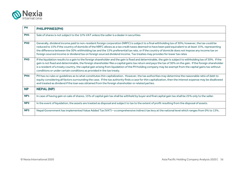

| PH              | <b>PHILIPPINES(PH)</b>                                                                                                                                                                                                                                                                                                                                                                                                                                                                                                                                                                      |
|-----------------|---------------------------------------------------------------------------------------------------------------------------------------------------------------------------------------------------------------------------------------------------------------------------------------------------------------------------------------------------------------------------------------------------------------------------------------------------------------------------------------------------------------------------------------------------------------------------------------------|
| <b>PH1</b>      | Sale of shares is not subject to the 12% VAT unless the seller is a dealer in securities.                                                                                                                                                                                                                                                                                                                                                                                                                                                                                                   |
| PH <sub>2</sub> | Generally, dividend income paid to non-resident foreign corporation (NRFC) is subject to a final withholding tax of 30%; however, the tax could be<br>reduced to 15% if the country of domicile of the NRFC allows as a tax credit taxes deemed to have been paid equivalent to at least 15%, representing<br>the difference between the 30% withholding tax and the 15% preferential tax rate, or if the country of domicile does not impose any income tax on<br>foreign sourced income or dividend tax on foreign sourced dividend income. Tax treaties may provides for lower tax rates |
| PH <sub>3</sub> | If the liquidation results to a gain to the foreign shareholder and the gain is fixed and determinable, the gain is subject to withholding tax of 30%. If the<br>gain is not fixed and determinable, the foreign shareholder files a capital gains tax return and pays the tax of 30% on the gain. If the foreign shareholder<br>is a resident of a treaty country, the capital gain arising from liquidation of the PH holding company may be exempt from the capital gains tax without<br>conditions or under certain conditions as provided in the tax treaty.                           |
| PH <sub>4</sub> | PH has no rules or guidelines as to what constitutes thin capitalization. However, the tax authorities may determine the reasonable ratio of debt to<br>equity considering all factors surrounding the case. If the tax authority finds a case for thin capitalization, then the interest expense may be disallowed<br>and treated as dividend if the loan was obtained from the foreign shareholder or related parties.                                                                                                                                                                    |
| <b>NP</b>       | <b>NEPAL (NP)</b>                                                                                                                                                                                                                                                                                                                                                                                                                                                                                                                                                                           |
| <b>NP1</b>      | In case of having gain on sale of shares, 15% of capital gain tax shall be withheld by buyer and final capital gain tax shall be 25% only to the seller.                                                                                                                                                                                                                                                                                                                                                                                                                                    |
| NP <sub>2</sub> | In the event of liquidation, the assets are treated as disposal and subject to tax to the extent of profit resulting from the disposal of assets.                                                                                                                                                                                                                                                                                                                                                                                                                                           |
| NP3             | Nepal Government has implemented Value Added Tax (VAT) - a comprehensive indirect tax levy at the national level which ranges from 0% to 13%.                                                                                                                                                                                                                                                                                                                                                                                                                                               |